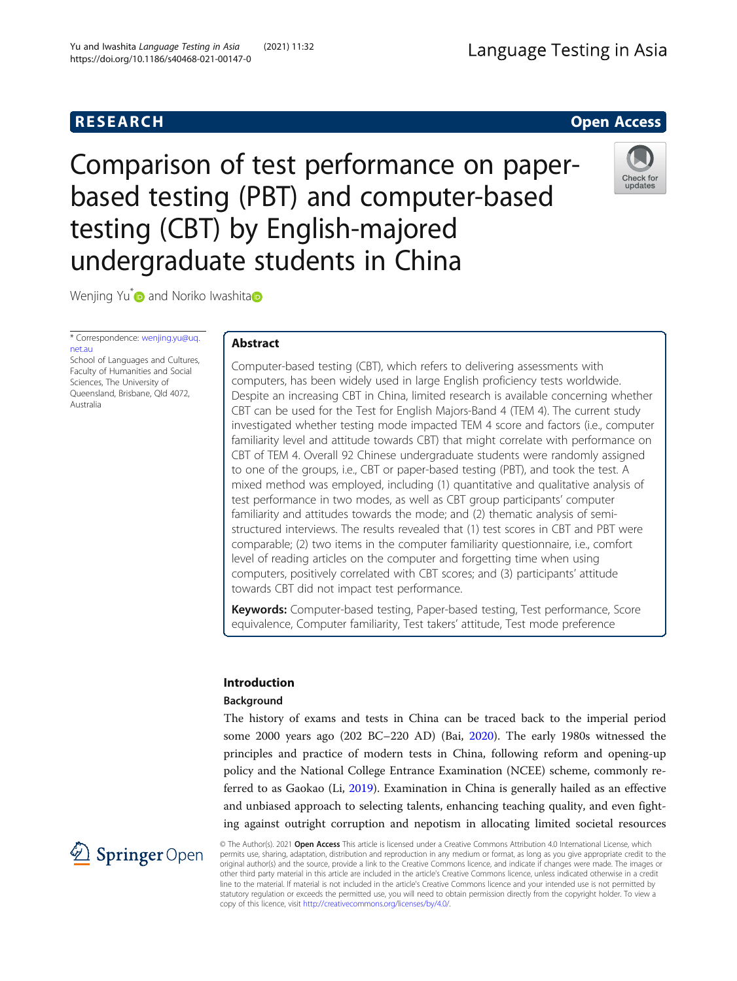# Comparison of test performance on paperbased testing (PBT) and computer-based testing (CBT) by English-majored undergraduate students in China

Wenjing Yu<sup>[\\*](http://orcid.org/0000-0003-3839-0393)</sup> [a](https://orcid.org/0000-0002-1402-7365)nd Noriko Iwashita

\* Correspondence: [wenjing.yu@uq.](mailto:wenjing.yu@uq.net.au) [net.au](mailto:wenjing.yu@uq.net.au) School of Languages and Cultures, Faculty of Humanities and Social

Sciences, The University of Queensland, Brisbane, Qld 4072, Australia

2 Springer Open

# Abstract

Computer-based testing (CBT), which refers to delivering assessments with computers, has been widely used in large English proficiency tests worldwide. Despite an increasing CBT in China, limited research is available concerning whether CBT can be used for the Test for English Majors-Band 4 (TEM 4). The current study investigated whether testing mode impacted TEM 4 score and factors (i.e., computer familiarity level and attitude towards CBT) that might correlate with performance on CBT of TEM 4. Overall 92 Chinese undergraduate students were randomly assigned to one of the groups, i.e., CBT or paper-based testing (PBT), and took the test. A mixed method was employed, including (1) quantitative and qualitative analysis of test performance in two modes, as well as CBT group participants' computer familiarity and attitudes towards the mode; and (2) thematic analysis of semistructured interviews. The results revealed that (1) test scores in CBT and PBT were comparable; (2) two items in the computer familiarity questionnaire, i.e., comfort level of reading articles on the computer and forgetting time when using computers, positively correlated with CBT scores; and (3) participants' attitude towards CBT did not impact test performance.

Keywords: Computer-based testing, Paper-based testing, Test performance, Score equivalence, Computer familiarity, Test takers' attitude, Test mode preference

# Introduction

# Background

The history of exams and tests in China can be traced back to the imperial period some 2000 years ago (202 BC–220 AD) (Bai, [2020](#page-18-0)). The early 1980s witnessed the principles and practice of modern tests in China, following reform and opening-up policy and the National College Entrance Examination (NCEE) scheme, commonly referred to as Gaokao (Li, [2019\)](#page-19-0). Examination in China is generally hailed as an effective and unbiased approach to selecting talents, enhancing teaching quality, and even fighting against outright corruption and nepotism in allocating limited societal resources

© The Author(s). 2021 Open Access This article is licensed under a Creative Commons Attribution 4.0 International License, which permits use, sharing, adaptation, distribution and reproduction in any medium or format, as long as you give appropriate credit to the original author(s) and the source, provide a link to the Creative Commons licence, and indicate if changes were made. The images or other third party material in this article are included in the article's Creative Commons licence, unless indicated otherwise in a credit line to the material. If material is not included in the article's Creative Commons licence and your intended use is not permitted by statutory regulation or exceeds the permitted use, you will need to obtain permission directly from the copyright holder. To view a copy of this licence, visit <http://creativecommons.org/licenses/by/4.0/>.



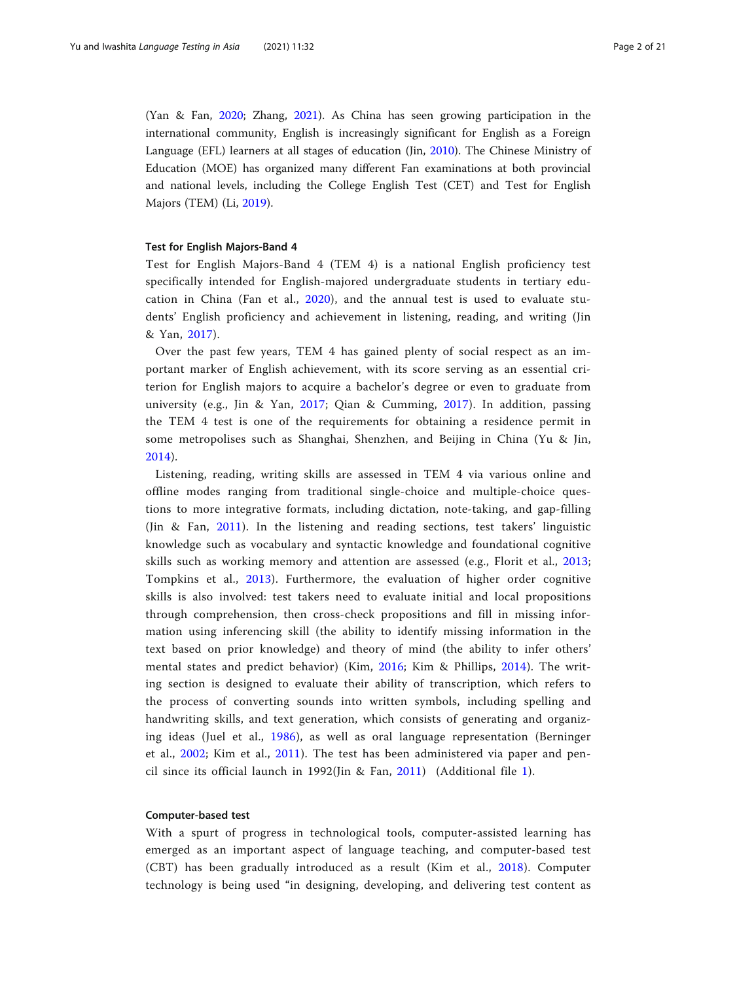(Yan & Fan, [2020;](#page-20-0) Zhang, [2021](#page-20-0)). As China has seen growing participation in the international community, English is increasingly significant for English as a Foreign Language (EFL) learners at all stages of education (Jin, [2010](#page-19-0)). The Chinese Ministry of Education (MOE) has organized many different Fan examinations at both provincial and national levels, including the College English Test (CET) and Test for English Majors (TEM) (Li, [2019\)](#page-19-0).

#### Test for English Majors-Band 4

Test for English Majors-Band 4 (TEM 4) is a national English proficiency test specifically intended for English-majored undergraduate students in tertiary education in China (Fan et al., [2020](#page-18-0)), and the annual test is used to evaluate students' English proficiency and achievement in listening, reading, and writing (Jin & Yan, [2017](#page-19-0)).

Over the past few years, TEM 4 has gained plenty of social respect as an important marker of English achievement, with its score serving as an essential criterion for English majors to acquire a bachelor's degree or even to graduate from university (e.g., Jin & Yan, [2017;](#page-19-0) Qian & Cumming, [2017\)](#page-19-0). In addition, passing the TEM 4 test is one of the requirements for obtaining a residence permit in some metropolises such as Shanghai, Shenzhen, and Beijing in China (Yu & Jin, [2014](#page-20-0)).

Listening, reading, writing skills are assessed in TEM 4 via various online and offline modes ranging from traditional single-choice and multiple-choice questions to more integrative formats, including dictation, note-taking, and gap-filling (Jin & Fan, [2011\)](#page-19-0). In the listening and reading sections, test takers' linguistic knowledge such as vocabulary and syntactic knowledge and foundational cognitive skills such as working memory and attention are assessed (e.g., Florit et al., [2013](#page-18-0); Tompkins et al., [2013](#page-19-0)). Furthermore, the evaluation of higher order cognitive skills is also involved: test takers need to evaluate initial and local propositions through comprehension, then cross-check propositions and fill in missing information using inferencing skill (the ability to identify missing information in the text based on prior knowledge) and theory of mind (the ability to infer others' mental states and predict behavior) (Kim, [2016](#page-19-0); Kim & Phillips, [2014\)](#page-19-0). The writing section is designed to evaluate their ability of transcription, which refers to the process of converting sounds into written symbols, including spelling and handwriting skills, and text generation, which consists of generating and organizing ideas (Juel et al., [1986](#page-19-0)), as well as oral language representation (Berninger et al., [2002](#page-18-0); Kim et al., [2011](#page-19-0)). The test has been administered via paper and pencil since its official launch in 1992(Jin & Fan, [2011](#page-19-0)) (Additional file [1\)](#page-17-0).

# Computer-based test

With a spurt of progress in technological tools, computer-assisted learning has emerged as an important aspect of language teaching, and computer-based test (CBT) has been gradually introduced as a result (Kim et al., [2018](#page-19-0)). Computer technology is being used "in designing, developing, and delivering test content as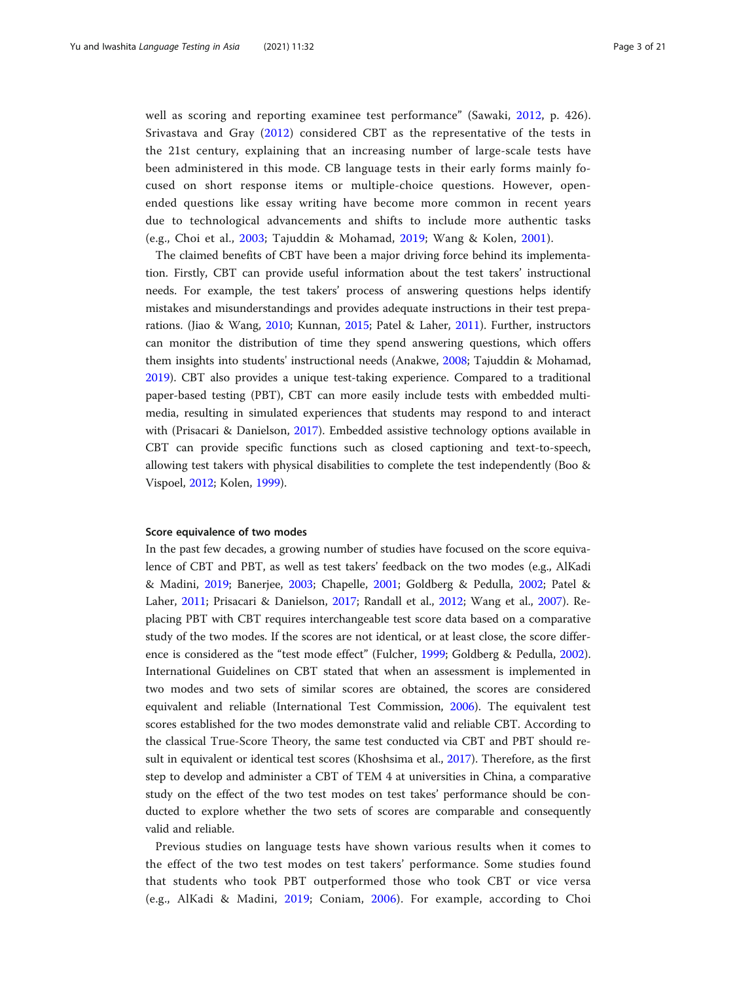well as scoring and reporting examinee test performance" (Sawaki, [2012,](#page-19-0) p. 426). Srivastava and Gray ([2012](#page-19-0)) considered CBT as the representative of the tests in the 21st century, explaining that an increasing number of large-scale tests have been administered in this mode. CB language tests in their early forms mainly focused on short response items or multiple-choice questions. However, openended questions like essay writing have become more common in recent years due to technological advancements and shifts to include more authentic tasks (e.g., Choi et al., [2003;](#page-18-0) Tajuddin & Mohamad, [2019;](#page-19-0) Wang & Kolen, [2001\)](#page-19-0).

The claimed benefits of CBT have been a major driving force behind its implementation. Firstly, CBT can provide useful information about the test takers' instructional needs. For example, the test takers' process of answering questions helps identify mistakes and misunderstandings and provides adequate instructions in their test preparations. (Jiao & Wang, [2010;](#page-19-0) Kunnan, [2015](#page-19-0); Patel & Laher, [2011\)](#page-19-0). Further, instructors can monitor the distribution of time they spend answering questions, which offers them insights into students' instructional needs (Anakwe, [2008;](#page-18-0) Tajuddin & Mohamad, [2019](#page-19-0)). CBT also provides a unique test-taking experience. Compared to a traditional paper-based testing (PBT), CBT can more easily include tests with embedded multimedia, resulting in simulated experiences that students may respond to and interact with (Prisacari & Danielson, [2017](#page-19-0)). Embedded assistive technology options available in CBT can provide specific functions such as closed captioning and text-to-speech, allowing test takers with physical disabilities to complete the test independently (Boo & Vispoel, [2012;](#page-18-0) Kolen, [1999\)](#page-19-0).

#### Score equivalence of two modes

In the past few decades, a growing number of studies have focused on the score equivalence of CBT and PBT, as well as test takers' feedback on the two modes (e.g., AlKadi & Madini, [2019;](#page-18-0) Banerjee, [2003](#page-18-0); Chapelle, [2001;](#page-18-0) Goldberg & Pedulla, [2002](#page-18-0); Patel & Laher, [2011;](#page-19-0) Prisacari & Danielson, [2017](#page-19-0); Randall et al., [2012;](#page-19-0) Wang et al., [2007\)](#page-19-0). Replacing PBT with CBT requires interchangeable test score data based on a comparative study of the two modes. If the scores are not identical, or at least close, the score difference is considered as the "test mode effect" (Fulcher, [1999;](#page-18-0) Goldberg & Pedulla, [2002](#page-18-0)). International Guidelines on CBT stated that when an assessment is implemented in two modes and two sets of similar scores are obtained, the scores are considered equivalent and reliable (International Test Commission, [2006\)](#page-18-0). The equivalent test scores established for the two modes demonstrate valid and reliable CBT. According to the classical True-Score Theory, the same test conducted via CBT and PBT should result in equivalent or identical test scores (Khoshsima et al., [2017](#page-19-0)). Therefore, as the first step to develop and administer a CBT of TEM 4 at universities in China, a comparative study on the effect of the two test modes on test takes' performance should be conducted to explore whether the two sets of scores are comparable and consequently valid and reliable.

Previous studies on language tests have shown various results when it comes to the effect of the two test modes on test takers' performance. Some studies found that students who took PBT outperformed those who took CBT or vice versa (e.g., AlKadi & Madini, [2019](#page-18-0); Coniam, [2006](#page-18-0)). For example, according to Choi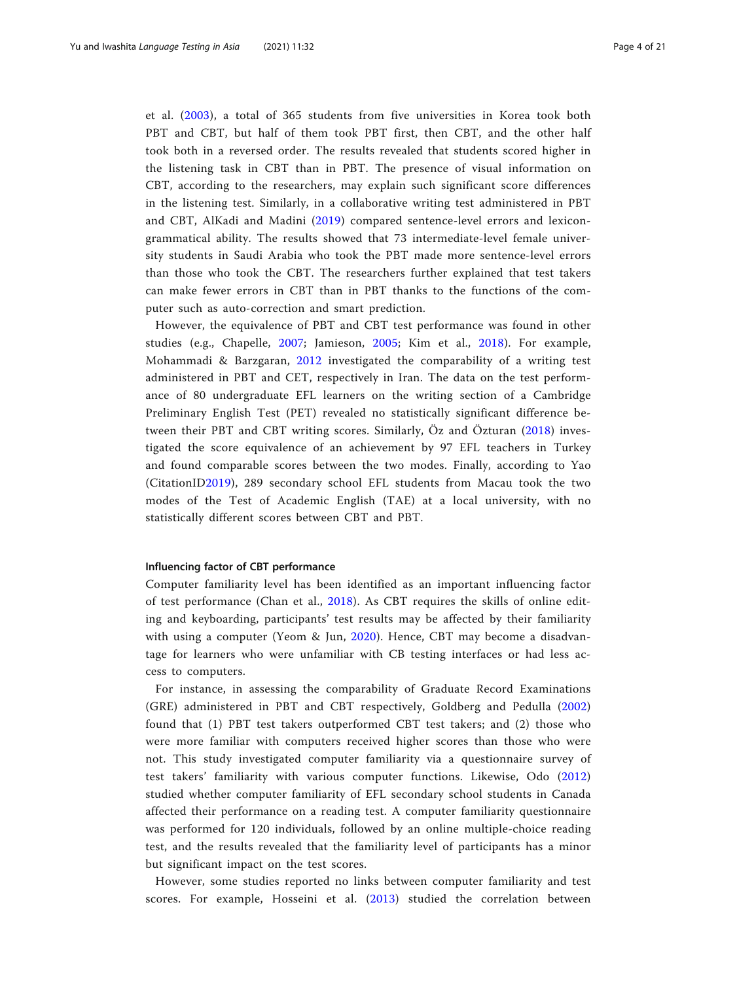et al. ([2003\)](#page-18-0), a total of 365 students from five universities in Korea took both PBT and CBT, but half of them took PBT first, then CBT, and the other half took both in a reversed order. The results revealed that students scored higher in the listening task in CBT than in PBT. The presence of visual information on CBT, according to the researchers, may explain such significant score differences in the listening test. Similarly, in a collaborative writing test administered in PBT and CBT, AlKadi and Madini ([2019\)](#page-18-0) compared sentence-level errors and lexicongrammatical ability. The results showed that 73 intermediate-level female university students in Saudi Arabia who took the PBT made more sentence-level errors than those who took the CBT. The researchers further explained that test takers can make fewer errors in CBT than in PBT thanks to the functions of the computer such as auto-correction and smart prediction.

However, the equivalence of PBT and CBT test performance was found in other studies (e.g., Chapelle, [2007;](#page-18-0) Jamieson, [2005;](#page-18-0) Kim et al., [2018](#page-19-0)). For example, Mohammadi & Barzgaran, [2012](#page-19-0) investigated the comparability of a writing test administered in PBT and CET, respectively in Iran. The data on the test performance of 80 undergraduate EFL learners on the writing section of a Cambridge Preliminary English Test (PET) revealed no statistically significant difference between their PBT and CBT writing scores. Similarly, Öz and Özturan ([2018](#page-19-0)) investigated the score equivalence of an achievement by 97 EFL teachers in Turkey and found comparable scores between the two modes. Finally, according to Yao (CitationI[D2019\)](#page-20-0), 289 secondary school EFL students from Macau took the two modes of the Test of Academic English (TAE) at a local university, with no statistically different scores between CBT and PBT.

#### Influencing factor of CBT performance

Computer familiarity level has been identified as an important influencing factor of test performance (Chan et al., [2018](#page-18-0)). As CBT requires the skills of online editing and keyboarding, participants' test results may be affected by their familiarity with using a computer (Yeom & Jun, [2020](#page-20-0)). Hence, CBT may become a disadvantage for learners who were unfamiliar with CB testing interfaces or had less access to computers.

For instance, in assessing the comparability of Graduate Record Examinations (GRE) administered in PBT and CBT respectively, Goldberg and Pedulla ([2002](#page-18-0)) found that (1) PBT test takers outperformed CBT test takers; and (2) those who were more familiar with computers received higher scores than those who were not. This study investigated computer familiarity via a questionnaire survey of test takers' familiarity with various computer functions. Likewise, Odo ([2012](#page-19-0)) studied whether computer familiarity of EFL secondary school students in Canada affected their performance on a reading test. A computer familiarity questionnaire was performed for 120 individuals, followed by an online multiple-choice reading test, and the results revealed that the familiarity level of participants has a minor but significant impact on the test scores.

However, some studies reported no links between computer familiarity and test scores. For example, Hosseini et al. [\(2013\)](#page-18-0) studied the correlation between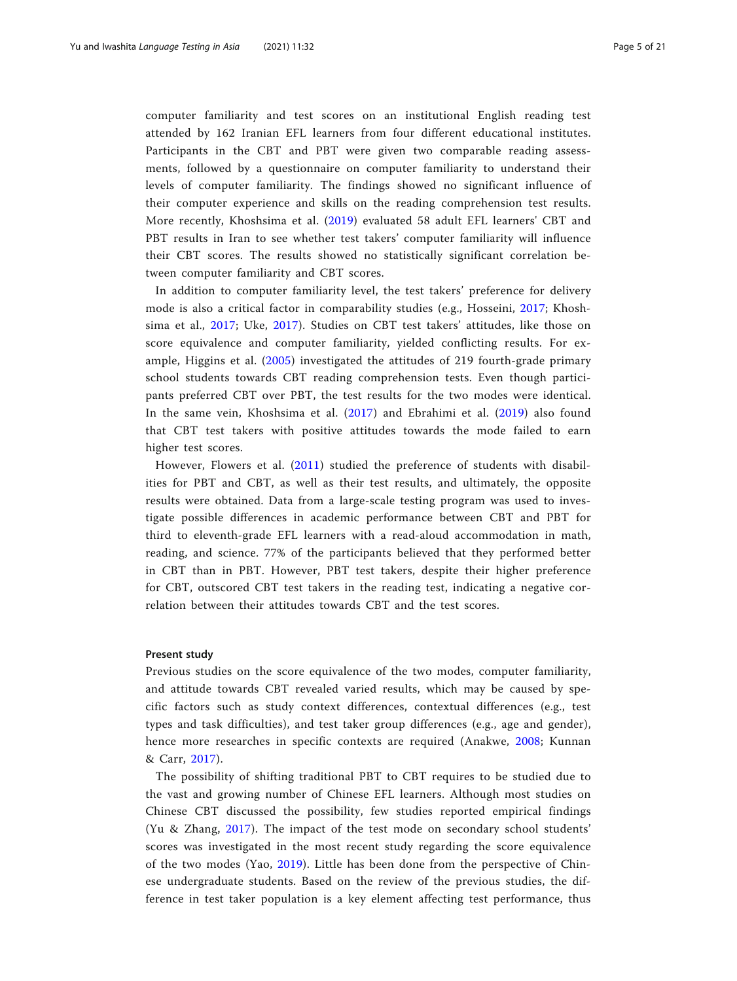computer familiarity and test scores on an institutional English reading test attended by 162 Iranian EFL learners from four different educational institutes. Participants in the CBT and PBT were given two comparable reading assessments, followed by a questionnaire on computer familiarity to understand their levels of computer familiarity. The findings showed no significant influence of their computer experience and skills on the reading comprehension test results. More recently, Khoshsima et al. [\(2019\)](#page-19-0) evaluated 58 adult EFL learners' CBT and PBT results in Iran to see whether test takers' computer familiarity will influence their CBT scores. The results showed no statistically significant correlation between computer familiarity and CBT scores.

In addition to computer familiarity level, the test takers' preference for delivery mode is also a critical factor in comparability studies (e.g., Hosseini, [2017;](#page-18-0) Khoshsima et al., [2017;](#page-19-0) Uke, [2017](#page-19-0)). Studies on CBT test takers' attitudes, like those on score equivalence and computer familiarity, yielded conflicting results. For example, Higgins et al. ([2005](#page-18-0)) investigated the attitudes of 219 fourth-grade primary school students towards CBT reading comprehension tests. Even though participants preferred CBT over PBT, the test results for the two modes were identical. In the same vein, Khoshsima et al. [\(2017\)](#page-19-0) and Ebrahimi et al. [\(2019\)](#page-18-0) also found that CBT test takers with positive attitudes towards the mode failed to earn higher test scores.

However, Flowers et al. [\(2011\)](#page-18-0) studied the preference of students with disabilities for PBT and CBT, as well as their test results, and ultimately, the opposite results were obtained. Data from a large-scale testing program was used to investigate possible differences in academic performance between CBT and PBT for third to eleventh-grade EFL learners with a read-aloud accommodation in math, reading, and science. 77% of the participants believed that they performed better in CBT than in PBT. However, PBT test takers, despite their higher preference for CBT, outscored CBT test takers in the reading test, indicating a negative correlation between their attitudes towards CBT and the test scores.

#### Present study

Previous studies on the score equivalence of the two modes, computer familiarity, and attitude towards CBT revealed varied results, which may be caused by specific factors such as study context differences, contextual differences (e.g., test types and task difficulties), and test taker group differences (e.g., age and gender), hence more researches in specific contexts are required (Anakwe, [2008;](#page-18-0) Kunnan & Carr, [2017\)](#page-19-0).

The possibility of shifting traditional PBT to CBT requires to be studied due to the vast and growing number of Chinese EFL learners. Although most studies on Chinese CBT discussed the possibility, few studies reported empirical findings (Yu & Zhang, [2017\)](#page-20-0). The impact of the test mode on secondary school students' scores was investigated in the most recent study regarding the score equivalence of the two modes (Yao, [2019\)](#page-20-0). Little has been done from the perspective of Chinese undergraduate students. Based on the review of the previous studies, the difference in test taker population is a key element affecting test performance, thus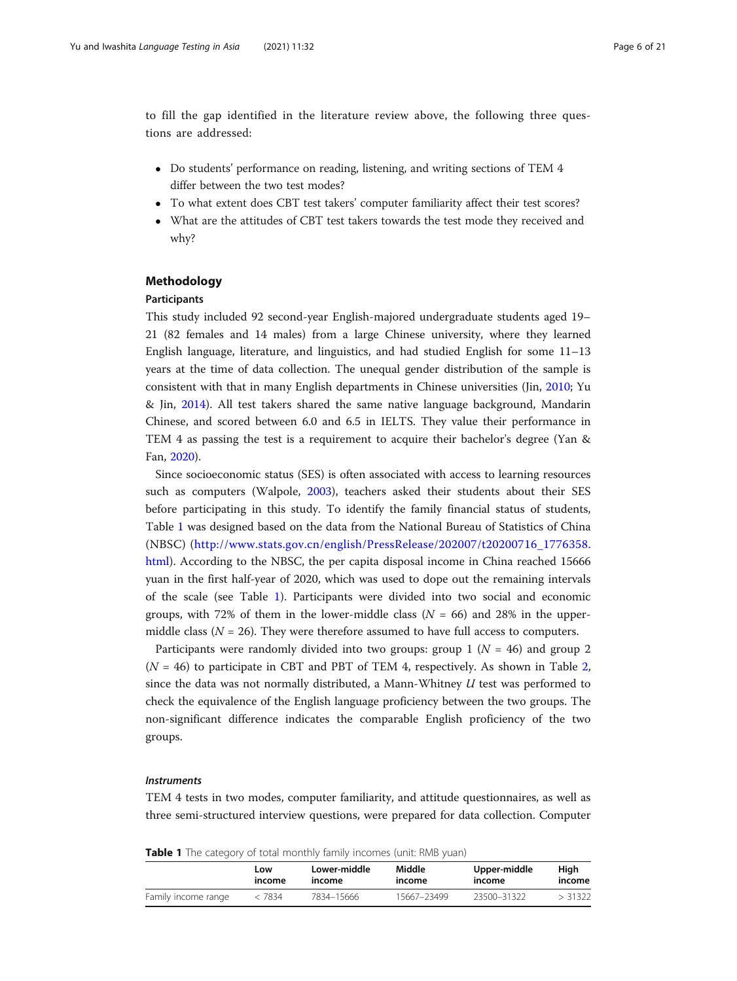to fill the gap identified in the literature review above, the following three questions are addressed:

- Do students' performance on reading, listening, and writing sections of TEM 4 differ between the two test modes?
- To what extent does CBT test takers' computer familiarity affect their test scores?
- What are the attitudes of CBT test takers towards the test mode they received and why?

#### Methodology

#### Participants

This study included 92 second-year English-majored undergraduate students aged 19– 21 (82 females and 14 males) from a large Chinese university, where they learned English language, literature, and linguistics, and had studied English for some 11–13 years at the time of data collection. The unequal gender distribution of the sample is consistent with that in many English departments in Chinese universities (Jin, [2010;](#page-19-0) Yu & Jin, [2014](#page-20-0)). All test takers shared the same native language background, Mandarin Chinese, and scored between 6.0 and 6.5 in IELTS. They value their performance in TEM 4 as passing the test is a requirement to acquire their bachelor's degree (Yan & Fan, [2020](#page-20-0)).

Since socioeconomic status (SES) is often associated with access to learning resources such as computers (Walpole, [2003](#page-19-0)), teachers asked their students about their SES before participating in this study. To identify the family financial status of students, Table 1 was designed based on the data from the National Bureau of Statistics of China (NBSC) ([http://www.stats.gov.cn/english/PressRelease/202007/t20200716\\_1776358.](http://www.stats.gov.cn/english/PressRelease/202007/t20200716_1776358.html) [html\)](http://www.stats.gov.cn/english/PressRelease/202007/t20200716_1776358.html). According to the NBSC, the per capita disposal income in China reached 15666 yuan in the first half-year of 2020, which was used to dope out the remaining intervals of the scale (see Table 1). Participants were divided into two social and economic groups, with 72% of them in the lower-middle class  $(N = 66)$  and 28% in the uppermiddle class ( $N = 26$ ). They were therefore assumed to have full access to computers.

Participants were randomly divided into two groups: group 1 ( $N = 46$ ) and group 2  $(N = 46)$  to participate in CBT and PBT of TEM 4, respectively. As shown in Table [2](#page-6-0), since the data was not normally distributed, a Mann-Whitney  $U$  test was performed to check the equivalence of the English language proficiency between the two groups. The non-significant difference indicates the comparable English proficiency of the two groups.

#### Instruments

TEM 4 tests in two modes, computer familiarity, and attitude questionnaires, as well as three semi-structured interview questions, were prepared for data collection. Computer

Table 1 The category of total monthly family incomes (unit: RMB yuan)

|                     | Low    | Lower-middle | Middle      | Upper-middle | High    |
|---------------------|--------|--------------|-------------|--------------|---------|
|                     | income | income       | income      | income       | income  |
| Family income range | < 7834 | 7834–15666   | 15667-23499 | 23500-31322  | > 31322 |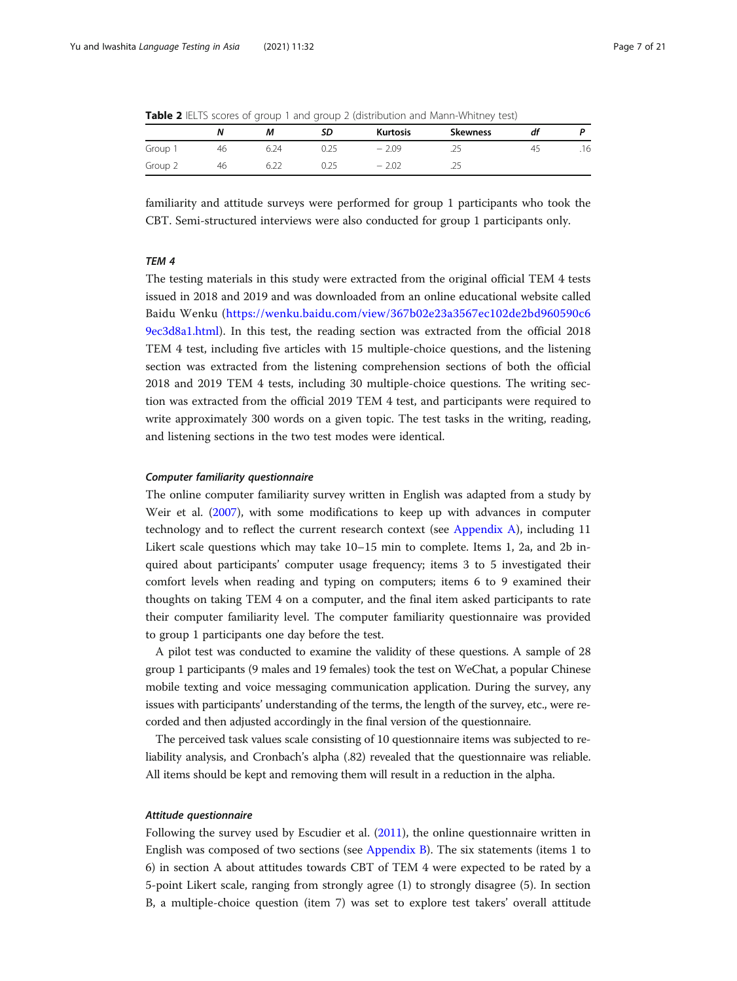<span id="page-6-0"></span>Table 2 IELTS scores of group 1 and group 2 (distribution and Mann-Whitney test)

|         | Ν  | M                     | SD   | <b>Kurtosis</b> | <b>Skewness</b> | df |     |
|---------|----|-----------------------|------|-----------------|-----------------|----|-----|
| Group   | 46 | 6.24                  |      | $-2.09$         | $-$             | 45 | .16 |
| Group 2 | 46 | $\sim$<br>n /<br>U.LL | U.ZJ | $-2.02$         | ر ے .           |    |     |

familiarity and attitude surveys were performed for group 1 participants who took the CBT. Semi-structured interviews were also conducted for group 1 participants only.

#### TEM 4

The testing materials in this study were extracted from the original official TEM 4 tests issued in 2018 and 2019 and was downloaded from an online educational website called Baidu Wenku ([https://wenku.baidu.com/view/367b02e23a3567ec102de2bd960590c6](https://wenku.baidu.com/view/367b02e23a3567ec102de2bd960590c69ec3d8a1.html) [9ec3d8a1.html](https://wenku.baidu.com/view/367b02e23a3567ec102de2bd960590c69ec3d8a1.html)). In this test, the reading section was extracted from the official 2018 TEM 4 test, including five articles with 15 multiple-choice questions, and the listening section was extracted from the listening comprehension sections of both the official 2018 and 2019 TEM 4 tests, including 30 multiple-choice questions. The writing section was extracted from the official 2019 TEM 4 test, and participants were required to write approximately 300 words on a given topic. The test tasks in the writing, reading, and listening sections in the two test modes were identical.

#### Computer familiarity questionnaire

The online computer familiarity survey written in English was adapted from a study by Weir et al. ([2007\)](#page-20-0), with some modifications to keep up with advances in computer technology and to reflect the current research context (see [Appendix A](#page-15-0)), including 11 Likert scale questions which may take 10–15 min to complete. Items 1, 2a, and 2b inquired about participants' computer usage frequency; items 3 to 5 investigated their comfort levels when reading and typing on computers; items 6 to 9 examined their thoughts on taking TEM 4 on a computer, and the final item asked participants to rate their computer familiarity level. The computer familiarity questionnaire was provided to group 1 participants one day before the test.

A pilot test was conducted to examine the validity of these questions. A sample of 28 group 1 participants (9 males and 19 females) took the test on WeChat, a popular Chinese mobile texting and voice messaging communication application. During the survey, any issues with participants' understanding of the terms, the length of the survey, etc., were recorded and then adjusted accordingly in the final version of the questionnaire.

The perceived task values scale consisting of 10 questionnaire items was subjected to reliability analysis, and Cronbach's alpha (.82) revealed that the questionnaire was reliable. All items should be kept and removing them will result in a reduction in the alpha.

#### Attitude questionnaire

Following the survey used by Escudier et al. [\(2011](#page-18-0)), the online questionnaire written in English was composed of two sections (see [Appendix B\)](#page-15-0). The six statements (items 1 to 6) in section A about attitudes towards CBT of TEM 4 were expected to be rated by a 5-point Likert scale, ranging from strongly agree (1) to strongly disagree (5). In section B, a multiple-choice question (item 7) was set to explore test takers' overall attitude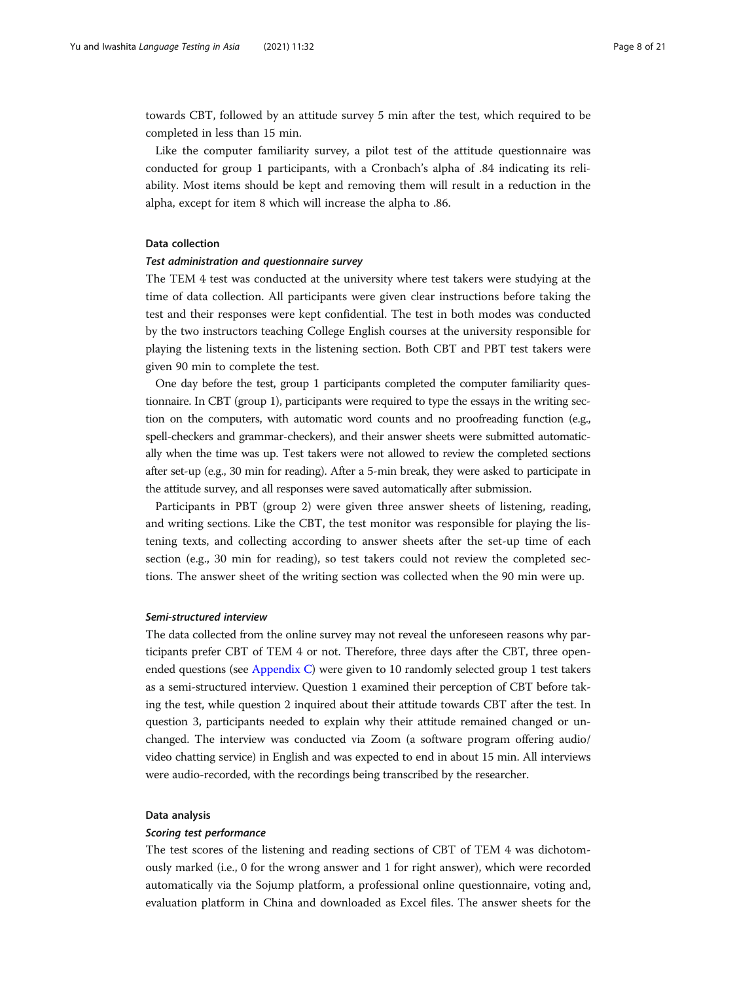towards CBT, followed by an attitude survey 5 min after the test, which required to be completed in less than 15 min.

Like the computer familiarity survey, a pilot test of the attitude questionnaire was conducted for group 1 participants, with a Cronbach's alpha of .84 indicating its reliability. Most items should be kept and removing them will result in a reduction in the alpha, except for item 8 which will increase the alpha to .86.

#### Data collection

#### Test administration and questionnaire survey

The TEM 4 test was conducted at the university where test takers were studying at the time of data collection. All participants were given clear instructions before taking the test and their responses were kept confidential. The test in both modes was conducted by the two instructors teaching College English courses at the university responsible for playing the listening texts in the listening section. Both CBT and PBT test takers were given 90 min to complete the test.

One day before the test, group 1 participants completed the computer familiarity questionnaire. In CBT (group 1), participants were required to type the essays in the writing section on the computers, with automatic word counts and no proofreading function (e.g., spell-checkers and grammar-checkers), and their answer sheets were submitted automatically when the time was up. Test takers were not allowed to review the completed sections after set-up (e.g., 30 min for reading). After a 5-min break, they were asked to participate in the attitude survey, and all responses were saved automatically after submission.

Participants in PBT (group 2) were given three answer sheets of listening, reading, and writing sections. Like the CBT, the test monitor was responsible for playing the listening texts, and collecting according to answer sheets after the set-up time of each section (e.g., 30 min for reading), so test takers could not review the completed sections. The answer sheet of the writing section was collected when the 90 min were up.

## Semi-structured interview

The data collected from the online survey may not reveal the unforeseen reasons why participants prefer CBT of TEM 4 or not. Therefore, three days after the CBT, three openended questions (see [Appendix C](#page-16-0)) were given to 10 randomly selected group 1 test takers as a semi-structured interview. Question 1 examined their perception of CBT before taking the test, while question 2 inquired about their attitude towards CBT after the test. In question 3, participants needed to explain why their attitude remained changed or unchanged. The interview was conducted via Zoom (a software program offering audio/ video chatting service) in English and was expected to end in about 15 min. All interviews were audio-recorded, with the recordings being transcribed by the researcher.

#### Data analysis

#### Scoring test performance

The test scores of the listening and reading sections of CBT of TEM 4 was dichotomously marked (i.e., 0 for the wrong answer and 1 for right answer), which were recorded automatically via the Sojump platform, a professional online questionnaire, voting and, evaluation platform in China and downloaded as Excel files. The answer sheets for the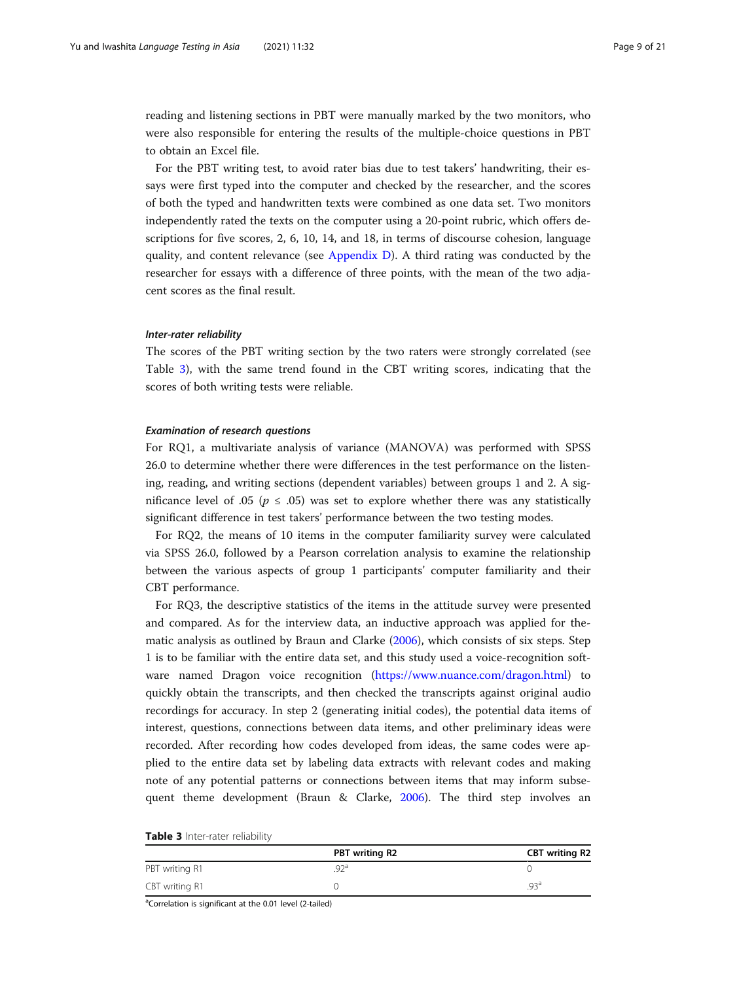reading and listening sections in PBT were manually marked by the two monitors, who were also responsible for entering the results of the multiple-choice questions in PBT to obtain an Excel file.

For the PBT writing test, to avoid rater bias due to test takers' handwriting, their essays were first typed into the computer and checked by the researcher, and the scores of both the typed and handwritten texts were combined as one data set. Two monitors independently rated the texts on the computer using a 20-point rubric, which offers descriptions for five scores, 2, 6, 10, 14, and 18, in terms of discourse cohesion, language quality, and content relevance (see [Appendix D](#page-16-0)). A third rating was conducted by the researcher for essays with a difference of three points, with the mean of the two adjacent scores as the final result.

#### Inter-rater reliability

The scores of the PBT writing section by the two raters were strongly correlated (see Table 3), with the same trend found in the CBT writing scores, indicating that the scores of both writing tests were reliable.

#### Examination of research questions

For RQ1, a multivariate analysis of variance (MANOVA) was performed with SPSS 26.0 to determine whether there were differences in the test performance on the listening, reading, and writing sections (dependent variables) between groups 1 and 2. A significance level of .05 ( $p \le .05$ ) was set to explore whether there was any statistically significant difference in test takers' performance between the two testing modes.

For RQ2, the means of 10 items in the computer familiarity survey were calculated via SPSS 26.0, followed by a Pearson correlation analysis to examine the relationship between the various aspects of group 1 participants' computer familiarity and their CBT performance.

For RQ3, the descriptive statistics of the items in the attitude survey were presented and compared. As for the interview data, an inductive approach was applied for thematic analysis as outlined by Braun and Clarke ([2006](#page-18-0)), which consists of six steps. Step 1 is to be familiar with the entire data set, and this study used a voice-recognition software named Dragon voice recognition [\(https://www.nuance.com/dragon.html\)](https://www.nuance.com/dragon.html) to quickly obtain the transcripts, and then checked the transcripts against original audio recordings for accuracy. In step 2 (generating initial codes), the potential data items of interest, questions, connections between data items, and other preliminary ideas were recorded. After recording how codes developed from ideas, the same codes were applied to the entire data set by labeling data extracts with relevant codes and making note of any potential patterns or connections between items that may inform subsequent theme development (Braun & Clarke, [2006](#page-18-0)). The third step involves an

|  |  | Table 3 Inter-rater reliability |  |  |
|--|--|---------------------------------|--|--|
|--|--|---------------------------------|--|--|

|                | PBT writing R2 | <b>CBT</b> writing R2 |
|----------------|----------------|-----------------------|
| PBT writing R1 | g Ja           |                       |
| CBT writing R1 |                | d3 <sub>9</sub>       |

<sup>a</sup>Correlation is significant at the 0.01 level (2-tailed)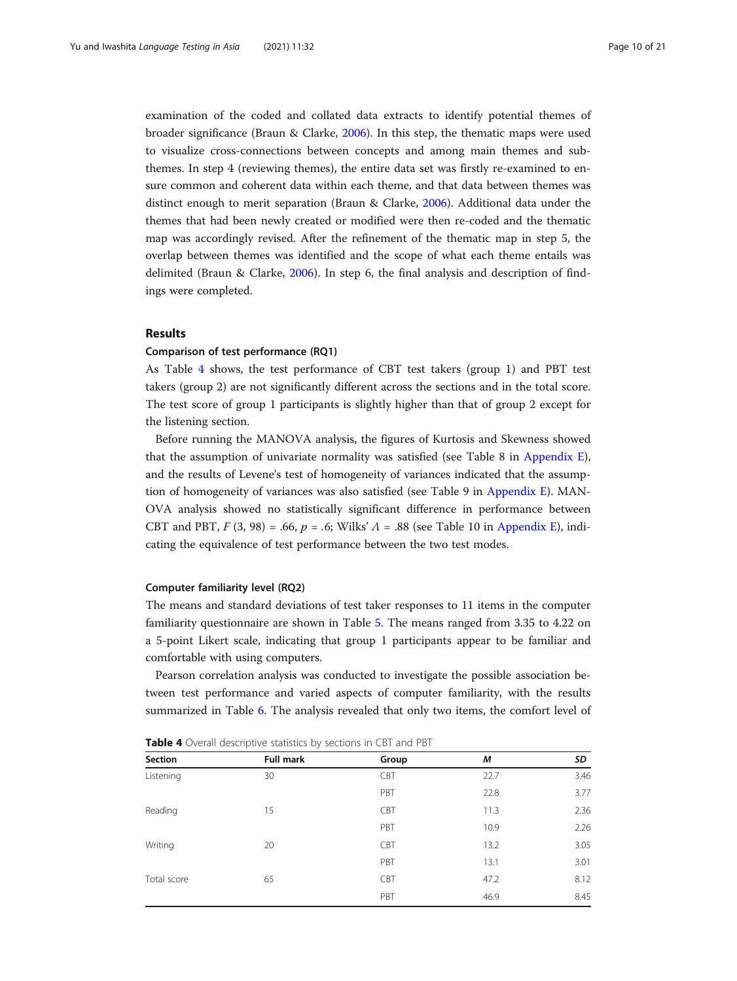examination of the coded and collated data extracts to identify potential themes of broader significance (Braun & Clarke, [2006](#page-18-0)). In this step, the thematic maps were used to visualize cross-connections between concepts and among main themes and subthemes. In step 4 (reviewing themes), the entire data set was firstly re-examined to ensure common and coherent data within each theme, and that data between themes was distinct enough to merit separation (Braun & Clarke, [2006](#page-18-0)). Additional data under the themes that had been newly created or modified were then re-coded and the thematic map was accordingly revised. After the refinement of the thematic map in step 5, the overlap between themes was identified and the scope of what each theme entails was delimited (Braun & Clarke, [2006\)](#page-18-0). In step 6, the final analysis and description of findings were completed.

# Results

#### Comparison of test performance (RQ1)

As Table 4 shows, the test performance of CBT test takers (group 1) and PBT test takers (group 2) are not significantly different across the sections and in the total score. The test score of group 1 participants is slightly higher than that of group 2 except for the listening section.

Before running the MANOVA analysis, the figures of Kurtosis and Skewness showed that the assumption of univariate normality was satisfied (see Table 8 in [Appendix E](#page-16-0)), and the results of Levene's test of homogeneity of variances indicated that the assumption of homogeneity of variances was also satisfied (see Table 9 in [Appendix E](#page-16-0)). MAN-OVA analysis showed no statistically significant difference in performance between CBT and PBT,  $F(3, 98) = .66$ ,  $p = .6$ ; Wilks'  $\Lambda = .88$  (see Table 10 in [Appendix E](#page-16-0)), indicating the equivalence of test performance between the two test modes.

#### Computer familiarity level (RQ2)

The means and standard deviations of test taker responses to 11 items in the computer familiarity questionnaire are shown in Table [5.](#page-10-0) The means ranged from 3.35 to 4.22 on a 5-point Likert scale, indicating that group 1 participants appear to be familiar and comfortable with using computers.

Pearson correlation analysis was conducted to investigate the possible association between test performance and varied aspects of computer familiarity, with the results summarized in Table [6](#page-10-0). The analysis revealed that only two items, the comfort level of

| Section     | Full mark | Group      | М    | SD   |
|-------------|-----------|------------|------|------|
| Listening   | 30        | CBT        | 22.7 | 3.46 |
|             |           | PBT        | 22.8 | 3.77 |
| Reading     | 15        | <b>CBT</b> | 11.3 | 2.36 |
|             |           | PBT        | 10.9 | 2.26 |
| Writing     | 20        | CBT        | 13.2 | 3.05 |
|             |           | PBT        | 13.1 | 3.01 |
| Total score | 65        | <b>CBT</b> | 47.2 | 8.12 |
|             |           | PBT        | 46.9 | 8.45 |

Table 4 Overall descriptive statistics by sections in CBT and PBT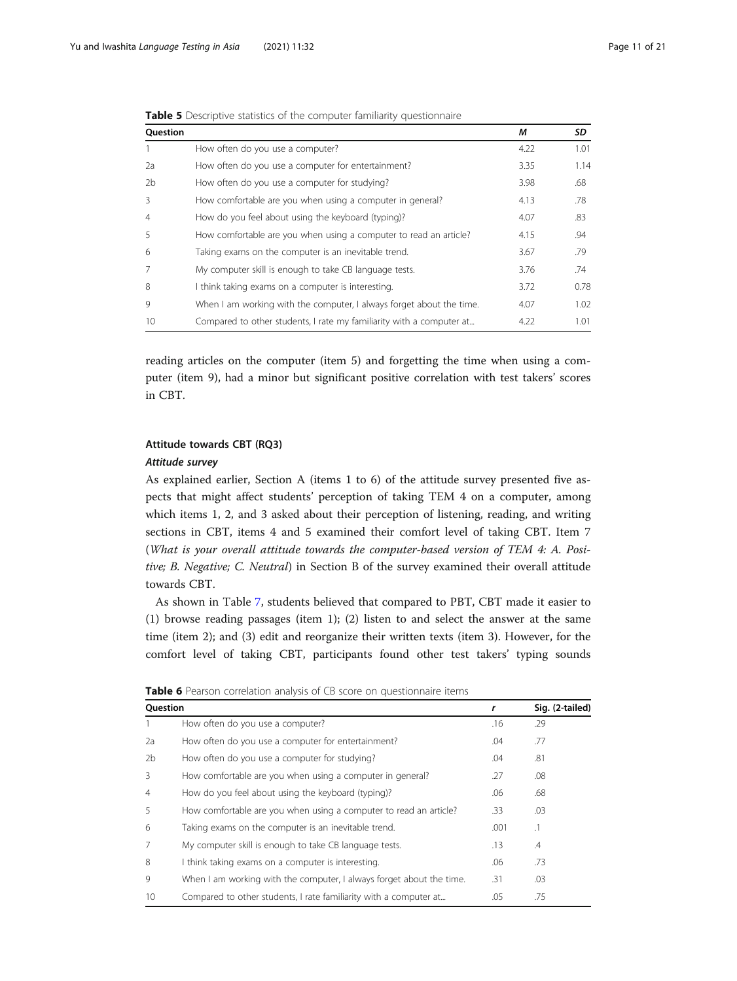| <b>Ouestion</b> |                                                                      | М    | SD   |
|-----------------|----------------------------------------------------------------------|------|------|
|                 | How often do you use a computer?                                     | 4.22 | 1.01 |
| 2a              | How often do you use a computer for entertainment?                   | 3.35 | 1.14 |
| 2 <sub>b</sub>  | How often do you use a computer for studying?                        | 3.98 | .68  |
| 3               | How comfortable are you when using a computer in general?            | 4.13 | .78  |
| $\overline{4}$  | How do you feel about using the keyboard (typing)?                   | 4.07 | .83  |
| 5               | How comfortable are you when using a computer to read an article?    | 4.15 | .94  |
| 6               | Taking exams on the computer is an inevitable trend.                 | 3.67 | .79  |
| 7               | My computer skill is enough to take CB language tests.               | 3.76 | .74  |
| 8               | I think taking exams on a computer is interesting.                   | 3.72 | 0.78 |
| 9               | When I am working with the computer, I always forget about the time. | 4.07 | 1.02 |
| 10              | Compared to other students, I rate my familiarity with a computer at | 4.22 | 1.01 |

<span id="page-10-0"></span>Table 5 Descriptive statistics of the computer familiarity questionnaire

reading articles on the computer (item 5) and forgetting the time when using a computer (item 9), had a minor but significant positive correlation with test takers' scores in CBT.

# Attitude towards CBT (RQ3)

### Attitude survey

As explained earlier, Section A (items 1 to 6) of the attitude survey presented five aspects that might affect students' perception of taking TEM 4 on a computer, among which items 1, 2, and 3 asked about their perception of listening, reading, and writing sections in CBT, items 4 and 5 examined their comfort level of taking CBT. Item 7 (What is your overall attitude towards the computer-based version of TEM 4: A. Positive; B. Negative; C. Neutral) in Section B of the survey examined their overall attitude towards CBT.

As shown in Table [7](#page-11-0), students believed that compared to PBT, CBT made it easier to (1) browse reading passages (item 1); (2) listen to and select the answer at the same time (item 2); and (3) edit and reorganize their written texts (item 3). However, for the comfort level of taking CBT, participants found other test takers' typing sounds

| Question       | <b>TWILE O</b> I Carbott Contention analysis of CD score on Gaestionnanc Renis | r    | Sig. (2-tailed) |
|----------------|--------------------------------------------------------------------------------|------|-----------------|
|                |                                                                                |      |                 |
|                | How often do you use a computer?                                               | .16  | .29             |
| 2a             | How often do you use a computer for entertainment?                             | .04  | .77             |
| 2 <sub>b</sub> | How often do you use a computer for studying?                                  | .04  | .81             |
| 3              | How comfortable are you when using a computer in general?                      | .27  | .08             |
| $\overline{4}$ | How do you feel about using the keyboard (typing)?                             | .06  | .68             |
| 5              | How comfortable are you when using a computer to read an article?              | .33  | .03             |
| 6              | Taking exams on the computer is an inevitable trend.                           | .001 | $\cdot$ 1       |
|                | My computer skill is enough to take CB language tests.                         | .13  | $\mathcal{A}$   |
| 8              | I think taking exams on a computer is interesting.                             | .06  | .73             |
| 9              | When I am working with the computer, I always forget about the time.           | .31  | .03             |
| 10             | Compared to other students, I rate familiarity with a computer at              | .05  | .75             |

Table 6 Pearson correlation analysis of CB score on questionnaire items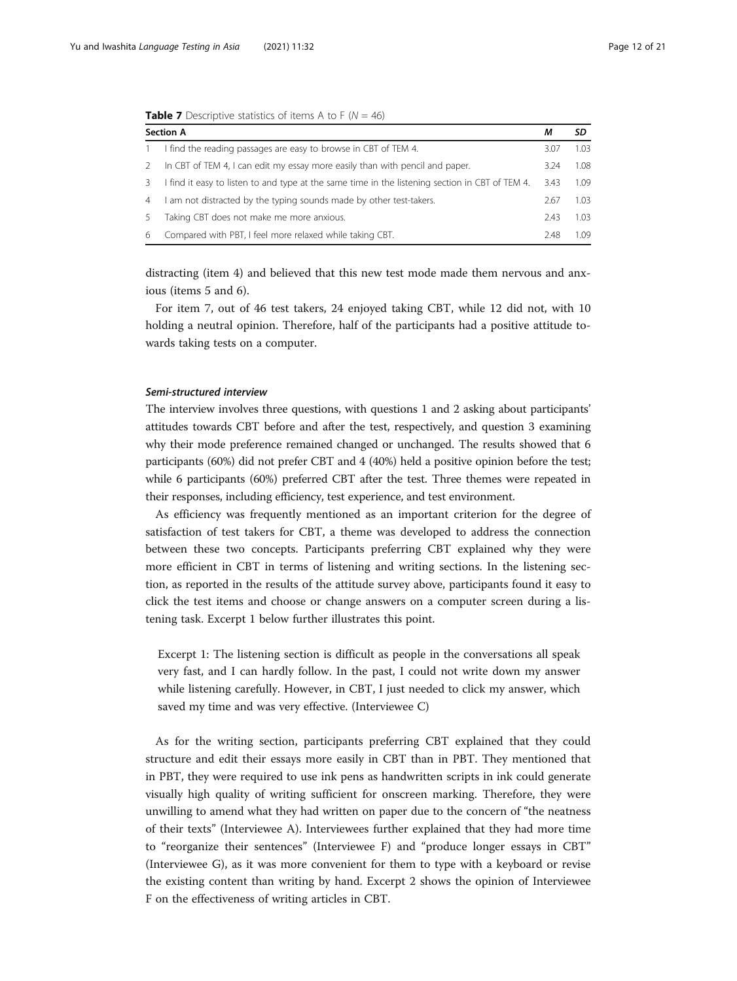|                | <b>Rable 7</b> Descriptive statistics of Reflis A to F (19 $-$ 40)                              |      |      |
|----------------|-------------------------------------------------------------------------------------------------|------|------|
|                | <b>Section A</b>                                                                                | м    | SD   |
|                | I find the reading passages are easy to browse in CBT of TEM 4.                                 | 3.07 | 1.03 |
| $\mathcal{L}$  | In CBT of TEM 4, I can edit my essay more easily than with pencil and paper.                    | 3.24 | 1.08 |
| 3              | I find it easy to listen to and type at the same time in the listening section in CBT of TEM 4. | 3.43 | 1.09 |
| $\overline{4}$ | I am not distracted by the typing sounds made by other test-takers.                             | 2.67 | 1.03 |
| 5.             | Taking CBT does not make me more anxious.                                                       | 2.43 | 1.03 |
| 6              | Compared with PBT, I feel more relaxed while taking CBT.                                        | 2.48 | 1.09 |

<span id="page-11-0"></span>**Table 7** Descriptive statistics of items A to F  $(N = 46)$ 

distracting (item 4) and believed that this new test mode made them nervous and anxious (items 5 and 6).

For item 7, out of 46 test takers, 24 enjoyed taking CBT, while 12 did not, with 10 holding a neutral opinion. Therefore, half of the participants had a positive attitude towards taking tests on a computer.

#### Semi-structured interview

The interview involves three questions, with questions 1 and 2 asking about participants' attitudes towards CBT before and after the test, respectively, and question 3 examining why their mode preference remained changed or unchanged. The results showed that 6 participants (60%) did not prefer CBT and 4 (40%) held a positive opinion before the test; while 6 participants (60%) preferred CBT after the test. Three themes were repeated in their responses, including efficiency, test experience, and test environment.

As efficiency was frequently mentioned as an important criterion for the degree of satisfaction of test takers for CBT, a theme was developed to address the connection between these two concepts. Participants preferring CBT explained why they were more efficient in CBT in terms of listening and writing sections. In the listening section, as reported in the results of the attitude survey above, participants found it easy to click the test items and choose or change answers on a computer screen during a listening task. Excerpt 1 below further illustrates this point.

Excerpt 1: The listening section is difficult as people in the conversations all speak very fast, and I can hardly follow. In the past, I could not write down my answer while listening carefully. However, in CBT, I just needed to click my answer, which saved my time and was very effective. (Interviewee C)

As for the writing section, participants preferring CBT explained that they could structure and edit their essays more easily in CBT than in PBT. They mentioned that in PBT, they were required to use ink pens as handwritten scripts in ink could generate visually high quality of writing sufficient for onscreen marking. Therefore, they were unwilling to amend what they had written on paper due to the concern of "the neatness of their texts" (Interviewee A). Interviewees further explained that they had more time to "reorganize their sentences" (Interviewee F) and "produce longer essays in CBT" (Interviewee G), as it was more convenient for them to type with a keyboard or revise the existing content than writing by hand. Excerpt 2 shows the opinion of Interviewee F on the effectiveness of writing articles in CBT.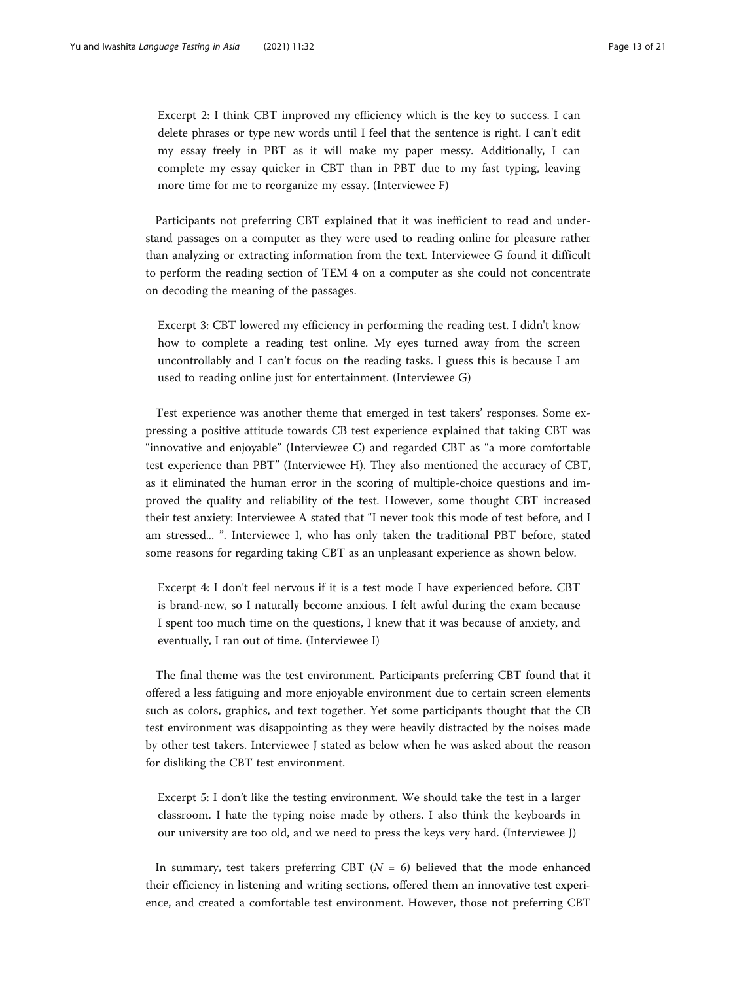Excerpt 2: I think CBT improved my efficiency which is the key to success. I can delete phrases or type new words until I feel that the sentence is right. I can't edit my essay freely in PBT as it will make my paper messy. Additionally, I can complete my essay quicker in CBT than in PBT due to my fast typing, leaving more time for me to reorganize my essay. (Interviewee F)

Participants not preferring CBT explained that it was inefficient to read and understand passages on a computer as they were used to reading online for pleasure rather than analyzing or extracting information from the text. Interviewee G found it difficult to perform the reading section of TEM 4 on a computer as she could not concentrate on decoding the meaning of the passages.

Excerpt 3: CBT lowered my efficiency in performing the reading test. I didn't know how to complete a reading test online. My eyes turned away from the screen uncontrollably and I can't focus on the reading tasks. I guess this is because I am used to reading online just for entertainment. (Interviewee G)

Test experience was another theme that emerged in test takers' responses. Some expressing a positive attitude towards CB test experience explained that taking CBT was "innovative and enjoyable" (Interviewee C) and regarded CBT as "a more comfortable test experience than PBT" (Interviewee H). They also mentioned the accuracy of CBT, as it eliminated the human error in the scoring of multiple-choice questions and improved the quality and reliability of the test. However, some thought CBT increased their test anxiety: Interviewee A stated that "I never took this mode of test before, and I am stressed... ". Interviewee I, who has only taken the traditional PBT before, stated some reasons for regarding taking CBT as an unpleasant experience as shown below.

Excerpt 4: I don't feel nervous if it is a test mode I have experienced before. CBT is brand-new, so I naturally become anxious. I felt awful during the exam because I spent too much time on the questions, I knew that it was because of anxiety, and eventually, I ran out of time. (Interviewee I)

The final theme was the test environment. Participants preferring CBT found that it offered a less fatiguing and more enjoyable environment due to certain screen elements such as colors, graphics, and text together. Yet some participants thought that the CB test environment was disappointing as they were heavily distracted by the noises made by other test takers. Interviewee J stated as below when he was asked about the reason for disliking the CBT test environment.

Excerpt 5: I don't like the testing environment. We should take the test in a larger classroom. I hate the typing noise made by others. I also think the keyboards in our university are too old, and we need to press the keys very hard. (Interviewee J)

In summary, test takers preferring CBT ( $N = 6$ ) believed that the mode enhanced their efficiency in listening and writing sections, offered them an innovative test experience, and created a comfortable test environment. However, those not preferring CBT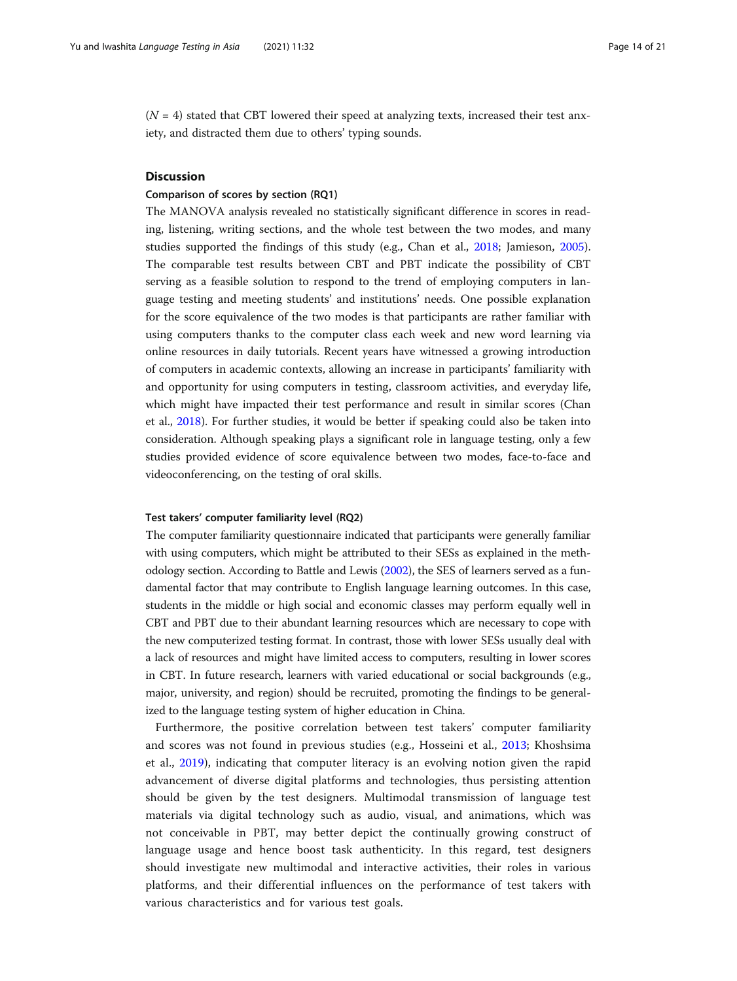$(N = 4)$  stated that CBT lowered their speed at analyzing texts, increased their test anxiety, and distracted them due to others' typing sounds.

#### **Discussion**

#### Comparison of scores by section (RQ1)

The MANOVA analysis revealed no statistically significant difference in scores in reading, listening, writing sections, and the whole test between the two modes, and many studies supported the findings of this study (e.g., Chan et al., [2018;](#page-18-0) Jamieson, [2005](#page-18-0)). The comparable test results between CBT and PBT indicate the possibility of CBT serving as a feasible solution to respond to the trend of employing computers in language testing and meeting students' and institutions' needs. One possible explanation for the score equivalence of the two modes is that participants are rather familiar with using computers thanks to the computer class each week and new word learning via online resources in daily tutorials. Recent years have witnessed a growing introduction of computers in academic contexts, allowing an increase in participants' familiarity with and opportunity for using computers in testing, classroom activities, and everyday life, which might have impacted their test performance and result in similar scores (Chan et al., [2018\)](#page-18-0). For further studies, it would be better if speaking could also be taken into consideration. Although speaking plays a significant role in language testing, only a few studies provided evidence of score equivalence between two modes, face-to-face and videoconferencing, on the testing of oral skills.

#### Test takers' computer familiarity level (RQ2)

The computer familiarity questionnaire indicated that participants were generally familiar with using computers, which might be attributed to their SESs as explained in the methodology section. According to Battle and Lewis ([2002](#page-18-0)), the SES of learners served as a fundamental factor that may contribute to English language learning outcomes. In this case, students in the middle or high social and economic classes may perform equally well in CBT and PBT due to their abundant learning resources which are necessary to cope with the new computerized testing format. In contrast, those with lower SESs usually deal with a lack of resources and might have limited access to computers, resulting in lower scores in CBT. In future research, learners with varied educational or social backgrounds (e.g., major, university, and region) should be recruited, promoting the findings to be generalized to the language testing system of higher education in China.

Furthermore, the positive correlation between test takers' computer familiarity and scores was not found in previous studies (e.g., Hosseini et al., [2013;](#page-18-0) Khoshsima et al., [2019\)](#page-19-0), indicating that computer literacy is an evolving notion given the rapid advancement of diverse digital platforms and technologies, thus persisting attention should be given by the test designers. Multimodal transmission of language test materials via digital technology such as audio, visual, and animations, which was not conceivable in PBT, may better depict the continually growing construct of language usage and hence boost task authenticity. In this regard, test designers should investigate new multimodal and interactive activities, their roles in various platforms, and their differential influences on the performance of test takers with various characteristics and for various test goals.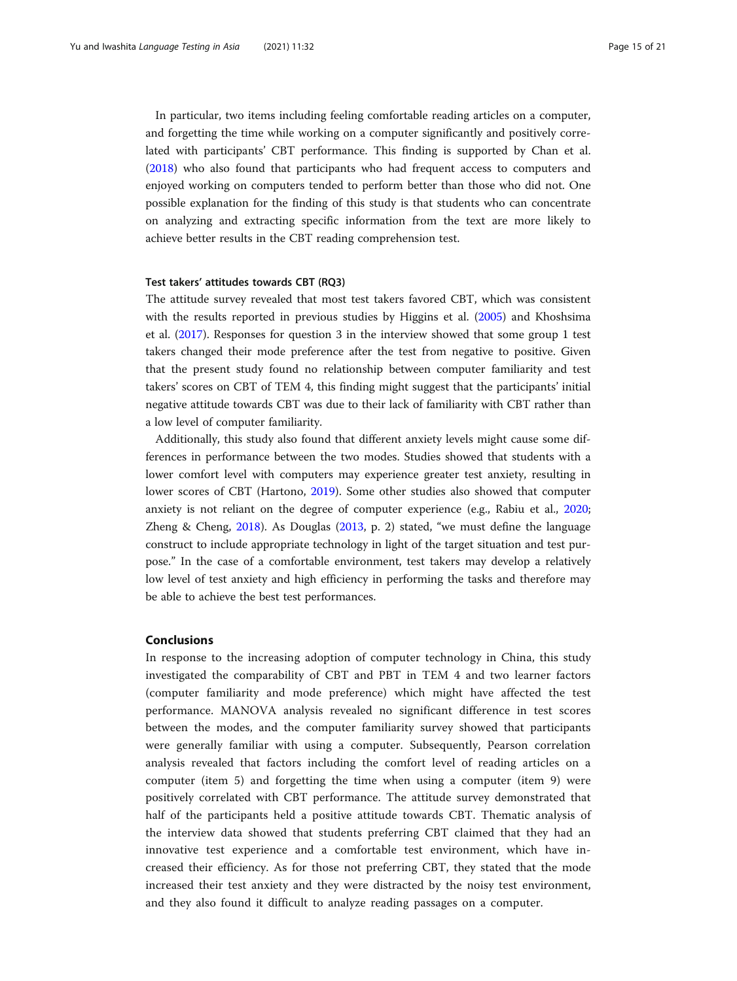In particular, two items including feeling comfortable reading articles on a computer, and forgetting the time while working on a computer significantly and positively correlated with participants' CBT performance. This finding is supported by Chan et al. ([2018](#page-18-0)) who also found that participants who had frequent access to computers and enjoyed working on computers tended to perform better than those who did not. One possible explanation for the finding of this study is that students who can concentrate on analyzing and extracting specific information from the text are more likely to achieve better results in the CBT reading comprehension test.

#### Test takers' attitudes towards CBT (RQ3)

The attitude survey revealed that most test takers favored CBT, which was consistent with the results reported in previous studies by Higgins et al. ([2005](#page-18-0)) and Khoshsima et al. [\(2017](#page-19-0)). Responses for question 3 in the interview showed that some group 1 test takers changed their mode preference after the test from negative to positive. Given that the present study found no relationship between computer familiarity and test takers' scores on CBT of TEM 4, this finding might suggest that the participants' initial negative attitude towards CBT was due to their lack of familiarity with CBT rather than a low level of computer familiarity.

Additionally, this study also found that different anxiety levels might cause some differences in performance between the two modes. Studies showed that students with a lower comfort level with computers may experience greater test anxiety, resulting in lower scores of CBT (Hartono, [2019\)](#page-18-0). Some other studies also showed that computer anxiety is not reliant on the degree of computer experience (e.g., Rabiu et al., [2020](#page-19-0); Zheng & Cheng, [2018\)](#page-20-0). As Douglas [\(2013](#page-18-0), p. 2) stated, "we must define the language construct to include appropriate technology in light of the target situation and test purpose." In the case of a comfortable environment, test takers may develop a relatively low level of test anxiety and high efficiency in performing the tasks and therefore may be able to achieve the best test performances.

#### Conclusions

In response to the increasing adoption of computer technology in China, this study investigated the comparability of CBT and PBT in TEM 4 and two learner factors (computer familiarity and mode preference) which might have affected the test performance. MANOVA analysis revealed no significant difference in test scores between the modes, and the computer familiarity survey showed that participants were generally familiar with using a computer. Subsequently, Pearson correlation analysis revealed that factors including the comfort level of reading articles on a computer (item 5) and forgetting the time when using a computer (item 9) were positively correlated with CBT performance. The attitude survey demonstrated that half of the participants held a positive attitude towards CBT. Thematic analysis of the interview data showed that students preferring CBT claimed that they had an innovative test experience and a comfortable test environment, which have increased their efficiency. As for those not preferring CBT, they stated that the mode increased their test anxiety and they were distracted by the noisy test environment, and they also found it difficult to analyze reading passages on a computer.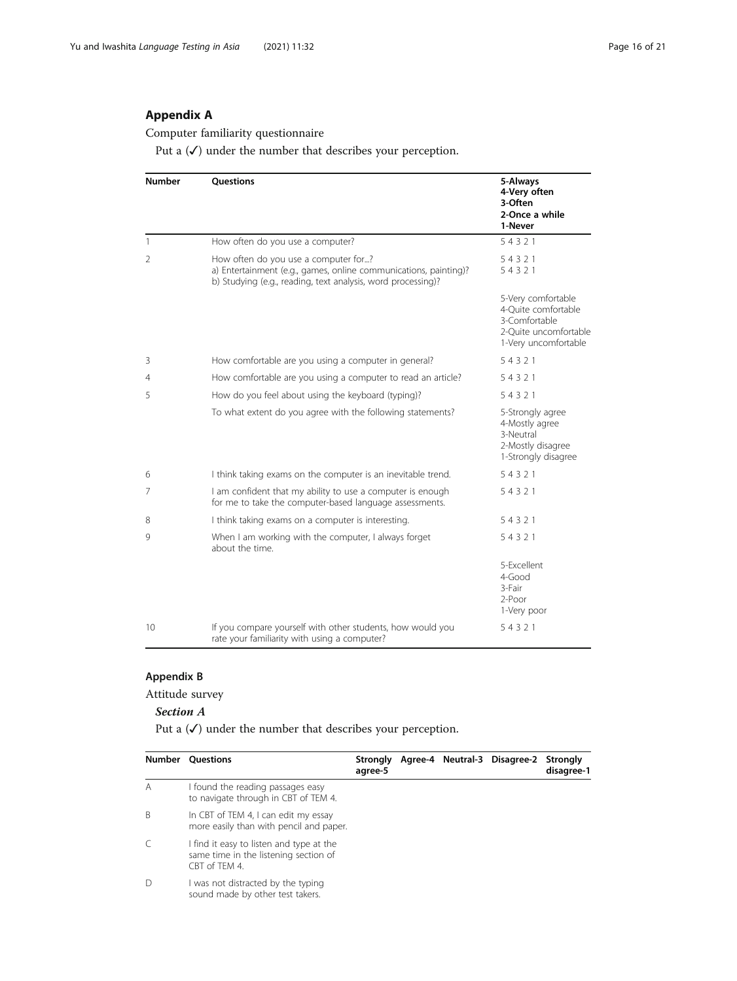# <span id="page-15-0"></span>Appendix A

Computer familiarity questionnaire

Put a  $(\checkmark)$  under the number that describes your perception.

| <b>Number</b> | <b>Ouestions</b>                                                                                                                                                         | 5-Always<br>4-Very often<br>3-Often<br>2-Once a while<br>1-Never                                            |
|---------------|--------------------------------------------------------------------------------------------------------------------------------------------------------------------------|-------------------------------------------------------------------------------------------------------------|
| $\mathbf{1}$  | How often do you use a computer?                                                                                                                                         | 54321                                                                                                       |
| 2             | How often do you use a computer for?<br>a) Entertainment (e.g., games, online communications, painting)?<br>b) Studying (e.g., reading, text analysis, word processing)? | 54321<br>54321                                                                                              |
|               |                                                                                                                                                                          | 5-Very comfortable<br>4-Ouite comfortable<br>3-Comfortable<br>2-Ouite uncomfortable<br>1-Very uncomfortable |
| 3             | How comfortable are you using a computer in general?                                                                                                                     | 54321                                                                                                       |
| 4             | How comfortable are you using a computer to read an article?                                                                                                             | 54321                                                                                                       |
| 5             | How do you feel about using the keyboard (typing)?                                                                                                                       | 54321                                                                                                       |
|               | To what extent do you agree with the following statements?                                                                                                               | 5-Strongly agree<br>4-Mostly agree<br>3-Neutral<br>2-Mostly disagree<br>1-Strongly disagree                 |
| 6             | I think taking exams on the computer is an inevitable trend.                                                                                                             | 54321                                                                                                       |
| 7             | I am confident that my ability to use a computer is enough<br>for me to take the computer-based language assessments.                                                    | 54321                                                                                                       |
| 8             | I think taking exams on a computer is interesting.                                                                                                                       | 54321                                                                                                       |
| 9             | When I am working with the computer, I always forget<br>about the time.                                                                                                  | 54321                                                                                                       |
|               |                                                                                                                                                                          | 5-Excellent<br>$4$ -Good<br>3-Fair<br>$2$ -Poor<br>1-Very poor                                              |
| 10            | If you compare yourself with other students, how would you<br>rate your familiarity with using a computer?                                                               | 54321                                                                                                       |

# Appendix B

Attitude survey

# Section A

Put a  $(\checkmark)$  under the number that describes your perception.

| Number       | <b>Questions</b>                                                                                   | Strongly<br>agree-5 |  | Agree-4 Neutral-3 Disagree-2 Strongly | disagree-1 |
|--------------|----------------------------------------------------------------------------------------------------|---------------------|--|---------------------------------------|------------|
| А            | I found the reading passages easy<br>to navigate through in CBT of TEM 4.                          |                     |  |                                       |            |
| <sup>B</sup> | In CBT of TEM 4, I can edit my essay<br>more easily than with pencil and paper.                    |                     |  |                                       |            |
|              | I find it easy to listen and type at the<br>same time in the listening section of<br>CBT of TFM 4. |                     |  |                                       |            |
|              | I was not distracted by the typing<br>sound made by other test takers.                             |                     |  |                                       |            |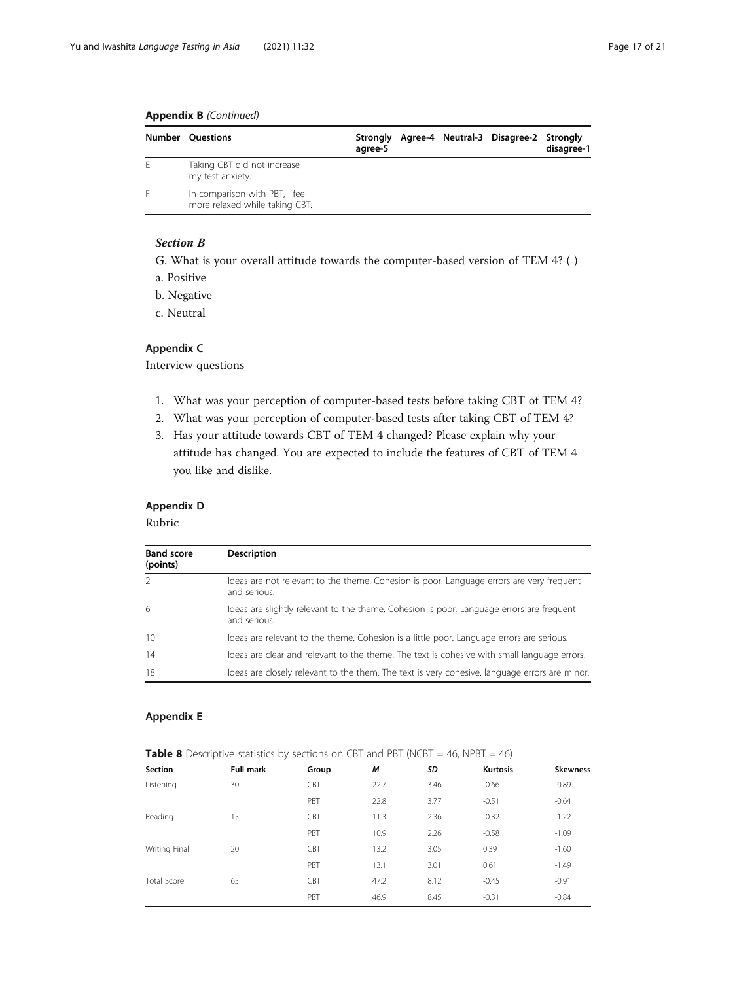# <span id="page-16-0"></span>Appendix B (Continued)

|   | <b>Number Ouestions</b>                                          | Stronaly<br>agree-5 |  | Agree-4 Neutral-3 Disagree-2 Strongly | disagree-1 |
|---|------------------------------------------------------------------|---------------------|--|---------------------------------------|------------|
| F | Taking CBT did not increase<br>my test anxiety.                  |                     |  |                                       |            |
|   | In comparison with PBT, I feel<br>more relaxed while taking CBT. |                     |  |                                       |            |

# Section B

G. What is your overall attitude towards the computer-based version of TEM 4? ( )

- a. Positive
- b. Negative
- c. Neutral

# Appendix C

Interview questions

- 1. What was your perception of computer-based tests before taking CBT of TEM 4?
- 2. What was your perception of computer-based tests after taking CBT of TEM 4?
- 3. Has your attitude towards CBT of TEM 4 changed? Please explain why your attitude has changed. You are expected to include the features of CBT of TEM 4 you like and dislike.

#### Appendix D

Rubric

| <b>Band score</b><br>(points) | <b>Description</b>                                                                                       |
|-------------------------------|----------------------------------------------------------------------------------------------------------|
|                               | Ideas are not relevant to the theme. Cohesion is poor. Language errors are very frequent<br>and serious. |
| -6                            | Ideas are slightly relevant to the theme. Cohesion is poor. Language errors are frequent<br>and serious. |
| 10                            | Ideas are relevant to the theme. Cohesion is a little poor. Language errors are serious.                 |
| 14                            | Ideas are clear and relevant to the theme. The text is cohesive with small language errors.              |
| 18                            | Ideas are closely relevant to the them. The text is very cohesive, language errors are minor.            |

# Appendix E

| <b>Section</b>     | <b>Full mark</b> | $\overline{\phantom{a}}$<br>Group | M    | SD   | <b>Kurtosis</b> | <b>Skewness</b> |
|--------------------|------------------|-----------------------------------|------|------|-----------------|-----------------|
| Listening          | 30               | CBT                               | 22.7 | 3.46 | $-0.66$         | $-0.89$         |
|                    |                  | PBT                               | 22.8 | 3.77 | $-0.51$         | $-0.64$         |
| Reading            | 15               | <b>CBT</b>                        | 11.3 | 2.36 | $-0.32$         | $-1.22$         |
|                    |                  | PBT                               | 10.9 | 2.26 | $-0.58$         | $-1.09$         |
| Writing Final      | 20               | <b>CBT</b>                        | 13.2 | 3.05 | 0.39            | $-1.60$         |
|                    |                  | PBT                               | 13.1 | 3.01 | 0.61            | $-1.49$         |
| <b>Total Score</b> | 65               | <b>CBT</b>                        | 47.2 | 8.12 | $-0.45$         | $-0.91$         |
|                    |                  | PBT                               | 46.9 | 8.45 | $-0.31$         | $-0.84$         |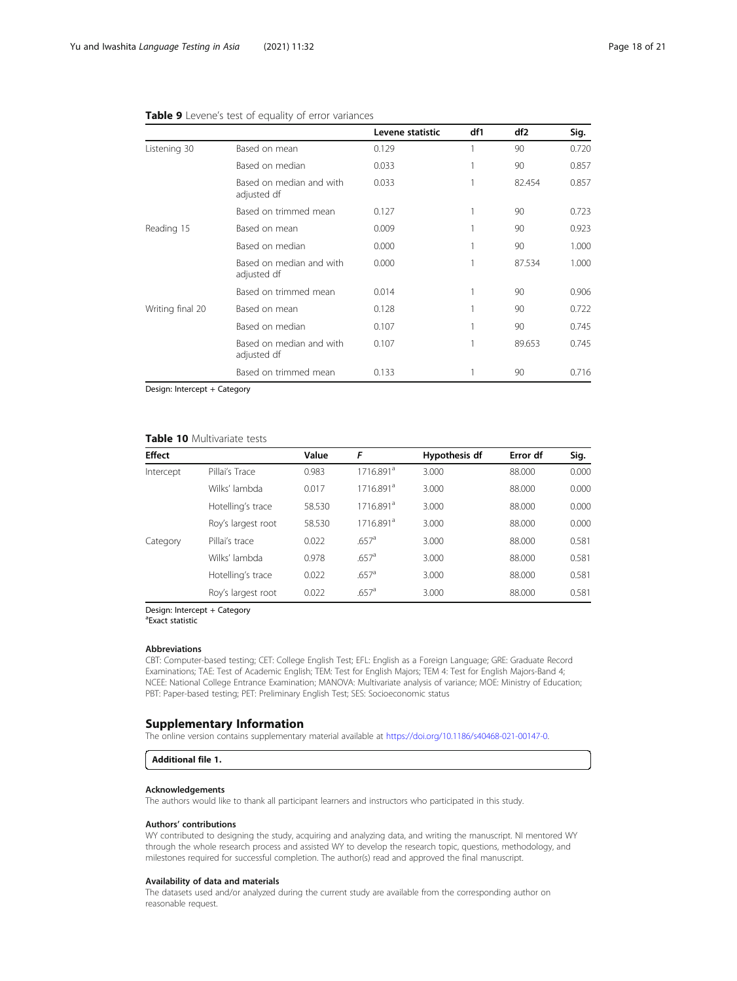|                  |                                         | Levene statistic | df1 | df <sub>2</sub> | Sig.  |
|------------------|-----------------------------------------|------------------|-----|-----------------|-------|
| Listening 30     | Based on mean                           | 0.129            | 1   | 90              | 0.720 |
|                  | Based on median                         | 0.033            | 1   | 90              | 0.857 |
|                  | Based on median and with<br>adjusted df | 0.033            | 1   | 82.454          | 0.857 |
|                  | Based on trimmed mean                   | 0.127            | 1   | 90              | 0.723 |
| Reading 15       | Based on mean                           | 0.009            | 1   | 90              | 0.923 |
|                  | Based on median                         | 0.000            |     | 90              | 1.000 |
|                  | Based on median and with<br>adjusted df | 0.000            | 1   | 87.534          | 1.000 |
|                  | Based on trimmed mean                   | 0.014            | 1   | 90              | 0.906 |
| Writing final 20 | Based on mean                           | 0.128            | 1   | 90              | 0.722 |
|                  | Based on median                         | 0.107            | 1   | 90              | 0.745 |
|                  | Based on median and with<br>adjusted df | 0.107            | 1   | 89.653          | 0.745 |
|                  | Based on trimmed mean                   | 0.133            |     | 90              | 0.716 |

#### <span id="page-17-0"></span>Table 9 Levene's test of equality of error variances

Design: Intercept + Category

## Table 10 Multivariate tests

| <b>Effect</b> |                    | Value  | F                     | Hypothesis df | Error df | Sig.  |
|---------------|--------------------|--------|-----------------------|---------------|----------|-------|
| Intercept     | Pillai's Trace     | 0.983  | 1716.891 <sup>a</sup> | 3.000         | 88,000   | 0.000 |
|               | Wilks' lambda      | 0.017  | 1716.891 <sup>a</sup> | 3.000         | 88.000   | 0.000 |
|               | Hotelling's trace  | 58.530 | 1716.891 <sup>a</sup> | 3.000         | 88,000   | 0.000 |
|               | Roy's largest root | 58.530 | 1716.891 <sup>a</sup> | 3.000         | 88.000   | 0.000 |
| Category      | Pillai's trace     | 0.022  | $.657$ <sup>a</sup>   | 3.000         | 88.000   | 0.581 |
|               | Wilks' lambda      | 0.978  | $.657$ <sup>a</sup>   | 3.000         | 88.000   | 0.581 |
|               | Hotelling's trace  | 0.022  | $.657$ <sup>a</sup>   | 3.000         | 88.000   | 0.581 |
|               | Roy's largest root | 0.022  | $.657$ <sup>a</sup>   | 3.000         | 88,000   | 0.581 |

Design: Intercept + Category

a Exact statistic

#### Abbreviations

CBT: Computer-based testing; CET: College English Test; EFL: English as a Foreign Language; GRE: Graduate Record Examinations; TAE: Test of Academic English; TEM: Test for English Majors; TEM 4: Test for English Majors-Band 4; NCEE: National College Entrance Examination; MANOVA: Multivariate analysis of variance; MOE: Ministry of Education; PBT: Paper-based testing; PET: Preliminary English Test; SES: Socioeconomic status

#### Supplementary Information

The online version contains supplementary material available at [https://doi.org/10.1186/s40468-021-00147-0.](https://doi.org/10.1186/s40468-021-00147-0)

Additional file 1.

#### Acknowledgements

The authors would like to thank all participant learners and instructors who participated in this study.

#### Authors' contributions

WY contributed to designing the study, acquiring and analyzing data, and writing the manuscript. NI mentored WY through the whole research process and assisted WY to develop the research topic, questions, methodology, and milestones required for successful completion. The author(s) read and approved the final manuscript.

#### Availability of data and materials

The datasets used and/or analyzed during the current study are available from the corresponding author on reasonable request.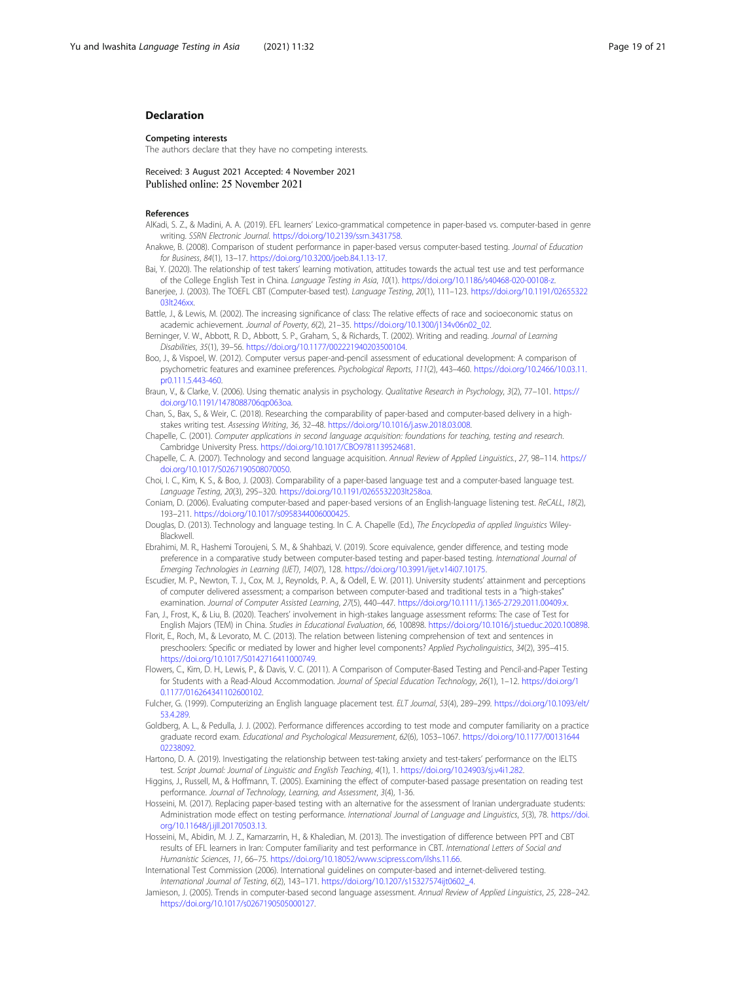#### <span id="page-18-0"></span>Declaration

#### Competing interests

The authors declare that they have no competing interests.

Received: 3 August 2021 Accepted: 4 November 2021 Published online: 25 November 2021

#### References

- AlKadi, S. Z., & Madini, A. A. (2019). EFL learners' Lexico-grammatical competence in paper-based vs. computer-based in genre writing. SSRN Electronic Journal. [https://doi.org/10.2139/ssrn.3431758.](https://doi.org/10.2139/ssrn.3431758)
- Anakwe, B. (2008). Comparison of student performance in paper-based versus computer-based testing. Journal of Education for Business, 84(1), 13–17. [https://doi.org/10.3200/joeb.84.1.13-17.](https://doi.org/10.3200/joeb.84.1.13-17)
- Bai, Y. (2020). The relationship of test takers' learning motivation, attitudes towards the actual test use and test performance of the College English Test in China. Language Testing in Asia, 10(1). <https://doi.org/10.1186/s40468-020-00108-z>.
- Banerjee, J. (2003). The TOEFL CBT (Computer-based test). Language Testing, 20(1), 111–123. [https://doi.org/10.1191/02655322](https://doi.org/10.1191/0265532203lt246xx) [03lt246xx](https://doi.org/10.1191/0265532203lt246xx).
- Battle, J., & Lewis, M. (2002). The increasing significance of class: The relative effects of race and socioeconomic status on academic achievement. Journal of Poverty, 6(2), 21-35. [https://doi.org/10.1300/j134v06n02\\_02.](https://doi.org/10.1300/j134v06n02_02)
- Berninger, V. W., Abbott, R. D., Abbott, S. P., Graham, S., & Richards, T. (2002). Writing and reading. Journal of Learning Disabilities, 35(1), 39–56. [https://doi.org/10.1177/002221940203500104.](https://doi.org/10.1177/002221940203500104)
- Boo, J., & Vispoel, W. (2012). Computer versus paper-and-pencil assessment of educational development: A comparison of psychometric features and examinee preferences. Psychological Reports, 111(2), 443–460. [https://doi.org/10.2466/10.03.11.](https://doi.org/10.2466/10.03.11.pr0.111.5.443-460) [pr0.111.5.443-460.](https://doi.org/10.2466/10.03.11.pr0.111.5.443-460)
- Braun, V., & Clarke, V. (2006). Using thematic analysis in psychology. Qualitative Research in Psychology, 3(2), 77-101. [https://](https://doi.org/10.1191/1478088706qp063oa) [doi.org/10.1191/1478088706qp063oa](https://doi.org/10.1191/1478088706qp063oa).
- Chan, S., Bax, S., & Weir, C. (2018). Researching the comparability of paper-based and computer-based delivery in a highstakes writing test. Assessing Writing, 36, 32–48. <https://doi.org/10.1016/j.asw.2018.03.008>.
- Chapelle, C. (2001). Computer applications in second language acquisition: foundations for teaching, testing and research. Cambridge University Press. [https://doi.org/10.1017/CBO9781139524681.](https://doi.org/10.1017/CBO9781139524681)
- Chapelle, C. A. (2007). Technology and second language acquisition. Annual Review of Applied Linguistics., 27, 98–114. [https://](https://doi.org/10.1017/S0267190508070050) [doi.org/10.1017/S0267190508070050](https://doi.org/10.1017/S0267190508070050).
- Choi, I. C., Kim, K. S., & Boo, J. (2003). Comparability of a paper-based language test and a computer-based language test. Language Testing, 20(3), 295–320. <https://doi.org/10.1191/0265532203lt258oa>.
- Coniam, D. (2006). Evaluating computer-based and paper-based versions of an English-language listening test. ReCALL, 18(2), 193–211. <https://doi.org/10.1017/s0958344006000425>.
- Douglas, D. (2013). Technology and language testing. In C. A. Chapelle (Ed.), The Encyclopedia of applied linguistics Wiley-Blackwell.
- Ebrahimi, M. R., Hashemi Toroujeni, S. M., & Shahbazi, V. (2019). Score equivalence, gender difference, and testing mode preference in a comparative study between computer-based testing and paper-based testing. International Journal of Emerging Technologies in Learning (IJET), 14(07), 128. <https://doi.org/10.3991/ijet.v14i07.10175>.
- Escudier, M. P., Newton, T. J., Cox, M. J., Reynolds, P. A., & Odell, E. W. (2011). University students' attainment and perceptions of computer delivered assessment; a comparison between computer-based and traditional tests in a "high-stakes" examination. Journal of Computer Assisted Learning, 27(5), 440-447. <https://doi.org/10.1111/j.1365-2729.2011.00409.x>.
- Fan, J., Frost, K., & Liu, B. (2020). Teachers' involvement in high-stakes language assessment reforms: The case of Test for English Majors (TEM) in China. Studies in Educational Evaluation, 66, 100898. <https://doi.org/10.1016/j.stueduc.2020.100898>.
- Florit, E., Roch, M., & Levorato, M. C. (2013). The relation between listening comprehension of text and sentences in preschoolers: Specific or mediated by lower and higher level components? Applied Psycholinguistics, 34(2), 395-415. [https://doi.org/10.1017/S0142716411000749.](https://doi.org/10.1017/S0142716411000749)
- Flowers, C., Kim, D. H., Lewis, P., & Davis, V. C. (2011). A Comparison of Computer-Based Testing and Pencil-and-Paper Testing for Students with a Read-Aloud Accommodation. Journal of Special Education Technology, 26(1), 1–12. [https://doi.org/1](https://doi.org/10.1177/016264341102600102) [0.1177/016264341102600102.](https://doi.org/10.1177/016264341102600102)
- Fulcher, G. (1999). Computerizing an English language placement test. ELT Journal, 53(4), 289–299. [https://doi.org/10.1093/elt/](https://doi.org/10.1093/elt/53.4.289) [53.4.289.](https://doi.org/10.1093/elt/53.4.289)
- Goldberg, A. L., & Pedulla, J. J. (2002). Performance differences according to test mode and computer familiarity on a practice graduate record exam. Educational and Psychological Measurement, 62(6), 1053–1067. [https://doi.org/10.1177/00131644](https://doi.org/10.1177/0013164402238092) [02238092.](https://doi.org/10.1177/0013164402238092)
- Hartono, D. A. (2019). Investigating the relationship between test-taking anxiety and test-takers' performance on the IELTS test. Script Journal: Journal of Linguistic and English Teaching, 4(1), 1. [https://doi.org/10.24903/sj.v4i1.282.](https://doi.org/10.24903/sj.v4i1.282)
- Higgins, J., Russell, M., & Hoffmann, T. (2005). Examining the effect of computer-based passage presentation on reading test performance. Journal of Technology, Learning, and Assessment, 3(4), 1-36.
- Hosseini, M. (2017). Replacing paper-based testing with an alternative for the assessment of Iranian undergraduate students: Administration mode effect on testing performance. International Journal of Language and Linguistics, 5(3), 78. [https://doi.](https://doi.org/10.11648/j.ijll.20170503.13) [org/10.11648/j.ijll.20170503.13](https://doi.org/10.11648/j.ijll.20170503.13).
- Hosseini, M., Abidin, M. J. Z., Kamarzarrin, H., & Khaledian, M. (2013). The investigation of difference between PPT and CBT results of EFL learners in Iran: Computer familiarity and test performance in CBT. International Letters of Social and Humanistic Sciences, 11, 66–75. [https://doi.org/10.18052/www.scipress.com/ilshs.11.66.](https://doi.org/10.18052/www.scipress.com/ilshs.11.66)
- International Test Commission (2006). International guidelines on computer-based and internet-delivered testing. International Journal of Testing, 6(2), 143–171. [https://doi.org/10.1207/s15327574ijt0602\\_4.](https://doi.org/10.1207/s15327574ijt0602_4)
- Jamieson, J. (2005). Trends in computer-based second language assessment. Annual Review of Applied Linguistics, 25, 228-242. <https://doi.org/10.1017/s0267190505000127>.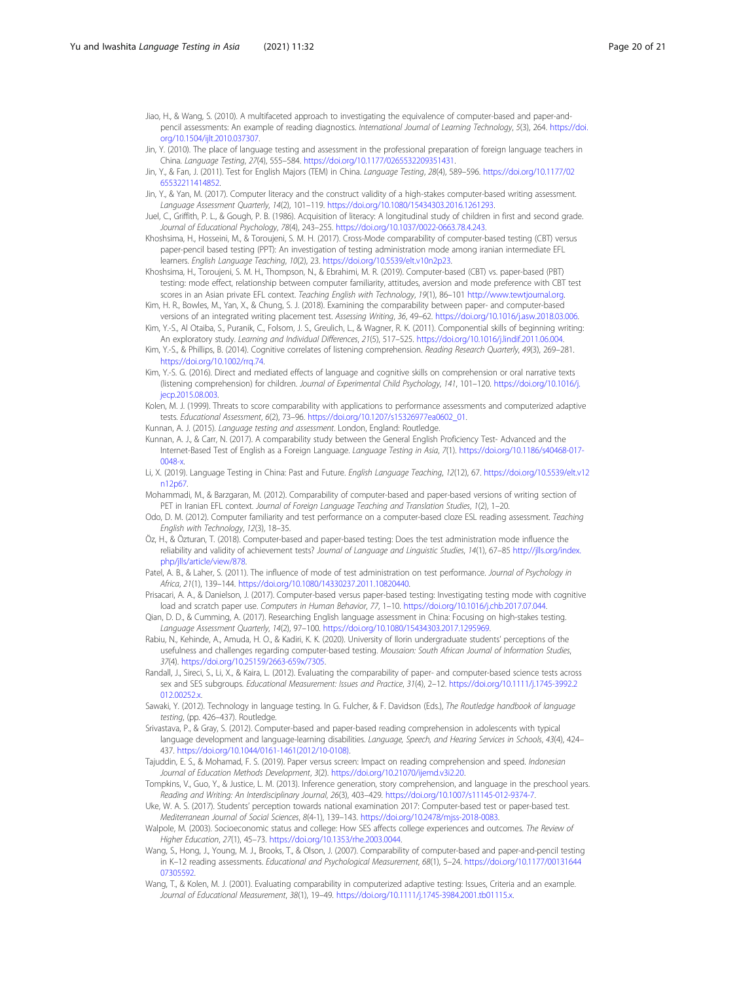- <span id="page-19-0"></span>Jiao, H., & Wang, S. (2010). A multifaceted approach to investigating the equivalence of computer-based and paper-andpencil assessments: An example of reading diagnostics. International Journal of Learning Technology, 5(3), 264. [https://doi.](https://doi.org/10.1504/ijlt.2010.037307) [org/10.1504/ijlt.2010.037307](https://doi.org/10.1504/ijlt.2010.037307).
- Jin, Y. (2010). The place of language testing and assessment in the professional preparation of foreign language teachers in China. Language Testing, 27(4), 555–584. <https://doi.org/10.1177/0265532209351431>.
- Jin, Y., & Fan, J. (2011). Test for English Majors (TEM) in China. Language Testing, 28(4), 589–596. [https://doi.org/10.1177/02](https://doi.org/10.1177/0265532211414852) [65532211414852](https://doi.org/10.1177/0265532211414852).
- Jin, Y., & Yan, M. (2017). Computer literacy and the construct validity of a high-stakes computer-based writing assessment. Language Assessment Quarterly, 14(2), 101–119. <https://doi.org/10.1080/15434303.2016.1261293>.
- Juel, C., Griffith, P. L., & Gough, P. B. (1986). Acquisition of literacy: A longitudinal study of children in first and second grade. Journal of Educational Psychology, 78(4), 243–255. <https://doi.org/10.1037/0022-0663.78.4.243>.
- Khoshsima, H., Hosseini, M., & Toroujeni, S. M. H. (2017). Cross-Mode comparability of computer-based testing (CBT) versus paper-pencil based testing (PPT): An investigation of testing administration mode among iranian intermediate EFL learners. English Language Teaching, 10(2), 23. <https://doi.org/10.5539/elt.v10n2p23>.
- Khoshsima, H., Toroujeni, S. M. H., Thompson, N., & Ebrahimi, M. R. (2019). Computer-based (CBT) vs. paper-based (PBT) testing: mode effect, relationship between computer familiarity, attitudes, aversion and mode preference with CBT test scores in an Asian private EFL context. Teaching English with Technology, 19(1), 86-101 [http://www.tewtjournal.org.](http://www.tewtjournal.org)
- Kim, H. R., Bowles, M., Yan, X., & Chung, S. J. (2018). Examining the comparability between paper- and computer-based versions of an integrated writing placement test. Assessing Writing, 36, 49–62. <https://doi.org/10.1016/j.asw.2018.03.006>.
- Kim, Y.-S., Al Otaiba, S., Puranik, C., Folsom, J. S., Greulich, L., & Wagner, R. K. (2011). Componential skills of beginning writing: An exploratory study. Learning and Individual Differences, 21(5), 517–525. [https://doi.org/10.1016/j.lindif.2011.06.004.](https://doi.org/10.1016/j.lindif.2011.06.004)
- Kim, Y.-S., & Phillips, B. (2014). Cognitive correlates of listening comprehension. Reading Research Quarterly, 49(3), 269-281. [https://doi.org/10.1002/rrq.74.](https://doi.org/10.1002/rrq.74)
- Kim, Y.-S. G. (2016). Direct and mediated effects of language and cognitive skills on comprehension or oral narrative texts (listening comprehension) for children. Journal of Experimental Child Psychology, 141, 101–120. [https://doi.org/10.1016/j.](https://doi.org/10.1016/j.jecp.2015.08.003) [jecp.2015.08.003.](https://doi.org/10.1016/j.jecp.2015.08.003)
- Kolen, M. J. (1999). Threats to score comparability with applications to performance assessments and computerized adaptive tests. Educational Assessment, 6(2), 73–96. [https://doi.org/10.1207/s15326977ea0602\\_01.](https://doi.org/10.1207/s15326977ea0602_01)
- Kunnan, A. J. (2015). Language testing and assessment. London, England: Routledge.
- Kunnan, A. J., & Carr, N. (2017). A comparability study between the General English Proficiency Test- Advanced and the Internet-Based Test of English as a Foreign Language. Language Testing in Asia, 7(1). [https://doi.org/10.1186/s40468-017-](https://doi.org/10.1186/s40468-017-0048-x) [0048-x](https://doi.org/10.1186/s40468-017-0048-x).
- Li, X. (2019). Language Testing in China: Past and Future. English Language Teaching, 12(12), 67. [https://doi.org/10.5539/elt.v12](https://doi.org/10.5539/elt.v12n12p67) [n12p67.](https://doi.org/10.5539/elt.v12n12p67)
- Mohammadi, M., & Barzgaran, M. (2012). Comparability of computer-based and paper-based versions of writing section of PET in Iranian EFL context. Journal of Foreign Language Teaching and Translation Studies, 1(2), 1-20.
- Odo, D. M. (2012). Computer familiarity and test performance on a computer-based cloze ESL reading assessment. Teaching English with Technology, 12(3), 18–35.
- Öz, H., & Özturan, T. (2018). Computer-based and paper-based testing: Does the test administration mode influence the reliability and validity of achievement tests? Journal of Language and Linguistic Studies, 14(1), 67–85 [http://jlls.org/index.](http://jlls.org/index.php/jlls/article/view/878) [php/jlls/article/view/878](http://jlls.org/index.php/jlls/article/view/878).
- Patel, A. B., & Laher, S. (2011). The influence of mode of test administration on test performance. Journal of Psychology in Africa, 21(1), 139–144. [https://doi.org/10.1080/14330237.2011.10820440.](https://doi.org/10.1080/14330237.2011.10820440)
- Prisacari, A. A., & Danielson, J. (2017). Computer-based versus paper-based testing: Investigating testing mode with cognitive load and scratch paper use. Computers in Human Behavior, 77, 1–10. <https://doi.org/10.1016/j.chb.2017.07.044>.
- Qian, D. D., & Cumming, A. (2017). Researching English language assessment in China: Focusing on high-stakes testing. Language Assessment Quarterly, 14(2), 97–100. [https://doi.org/10.1080/15434303.2017.1295969.](https://doi.org/10.1080/15434303.2017.1295969)
- Rabiu, N., Kehinde, A., Amuda, H. O., & Kadiri, K. K. (2020). University of Ilorin undergraduate students' perceptions of the usefulness and challenges regarding computer-based testing. Mousaion: South African Journal of Information Studies, 37(4). <https://doi.org/10.25159/2663-659x/7305>.
- Randall, J., Sireci, S., Li, X., & Kaira, L. (2012). Evaluating the comparability of paper- and computer-based science tests across sex and SES subgroups. Educational Measurement: Issues and Practice, 31(4), 2–12. [https://doi.org/10.1111/j.1745-3992.2](https://doi.org/10.1111/j.1745-3992.2012.00252.x) [012.00252.x](https://doi.org/10.1111/j.1745-3992.2012.00252.x)
- Sawaki, Y. (2012). Technology in language testing. In G. Fulcher, & F. Davidson (Eds.), The Routledge handbook of language testing, (pp. 426–437). Routledge.
- Srivastava, P., & Gray, S. (2012). Computer-based and paper-based reading comprehension in adolescents with typical language development and language-learning disabilities. Language, Speech, and Hearing Services in Schools, 43(4), 424– 437. [https://doi.org/10.1044/0161-1461\(2012/10-0108\)](https://doi.org/10.1044/0161-1461(2012/10-0108)).
- Tajuddin, E. S., & Mohamad, F. S. (2019). Paper versus screen: Impact on reading comprehension and speed. Indonesian Journal of Education Methods Development, 3(2). <https://doi.org/10.21070/ijemd.v3i2.20>.
- Tompkins, V., Guo, Y., & Justice, L. M. (2013). Inference generation, story comprehension, and language in the preschool years. Reading and Writing: An Interdisciplinary Journal, 26(3), 403–429. <https://doi.org/10.1007/s11145-012-9374-7>.
- Uke, W. A. S. (2017). Students' perception towards national examination 2017: Computer-based test or paper-based test. Mediterranean Journal of Social Sciences, 8(4-1), 139–143. [https://doi.org/10.2478/mjss-2018-0083.](https://doi.org/10.2478/mjss-2018-0083)
- Walpole, M. (2003). Socioeconomic status and college: How SES affects college experiences and outcomes. The Review of Higher Education, 27(1), 45–73. [https://doi.org/10.1353/rhe.2003.0044.](https://doi.org/10.1353/rhe.2003.0044)
- Wang, S., Hong, J., Young, M. J., Brooks, T., & Olson, J. (2007). Comparability of computer-based and paper-and-pencil testing in K–12 reading assessments. Educational and Psychological Measurement, 68(1), 5–24. [https://doi.org/10.1177/00131644](https://doi.org/10.1177/0013164407305592) [07305592.](https://doi.org/10.1177/0013164407305592)
- Wang, T., & Kolen, M. J. (2001). Evaluating comparability in computerized adaptive testing: Issues, Criteria and an example. Journal of Educational Measurement, 38(1), 19-49. <https://doi.org/10.1111/j.1745-3984.2001.tb01115.x>.